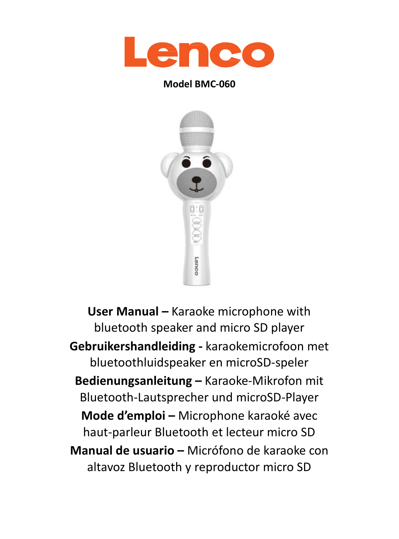

#### **Model BMC-060**



**User Manual –** Karaoke microphone with bluetooth speaker and micro SD player **Gebruikershandleiding -** karaokemicrofoon met bluetoothluidspeaker en microSD-speler **Bedienungsanleitung –** Karaoke-Mikrofon mit Bluetooth-Lautsprecher und microSD-Player **Mode d'emploi –** Microphone karaoké avec haut-parleur Bluetooth et lecteur micro SD **Manual de usuario –** Micrófono de karaoke con altavoz Bluetooth y reproductor micro SD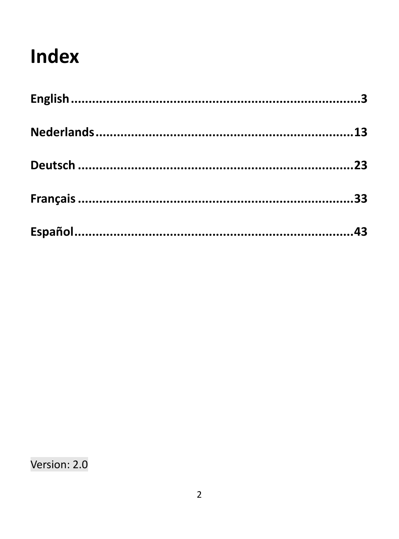# **Index**

Version: 2.0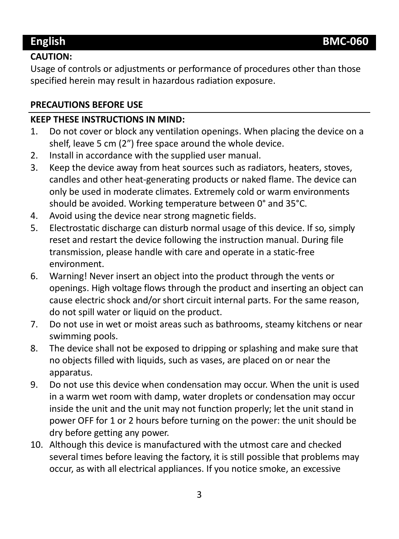#### **CAUTION:**

Usage of controls or adjustments or performance of procedures other than those specified herein may result in hazardous radiation exposure.

#### **PRECAUTIONS BEFORE USE**

#### **KEEP THESE INSTRUCTIONS IN MIND:**

- 1. Do not cover or block any ventilation openings. When placing the device on a shelf, leave 5 cm (2") free space around the whole device.
- 2. Install in accordance with the supplied user manual.<br>3. Keep the device away from heat sources such as radi
- 3. Keep the device away from heat sources such as radiators, heaters, stoves, candles and other heat-generating products or naked flame. The device can only be used in moderate climates. Extremely cold or warm environments should be avoided. Working temperature between 0° and 35°C.
- 4. Avoid using the device near strong magnetic fields.<br>5. Electrostatic discharge can disturb normal usage of
- 5. Electrostatic discharge can disturb normal usage of this device. If so, simply reset and restart the device following the instruction manual. During file transmission, please handle with care and operate in a static-free environment.
- 6. Warning! Never insert an object into the product through the vents or openings. High voltage flows through the product and inserting an object can cause electric shock and/or short circuit internal parts. For the same reason, do not spill water or liquid on the product.
- 7. Do not use in wet or moist areas such as bathrooms, steamy kitchens or near swimming pools.
- 8. The device shall not be exposed to dripping or splashing and make sure that no objects filled with liquids, such as vases, are placed on or near the apparatus.
- 9. Do not use this device when condensation may occur. When the unit is used in a warm wet room with damp, water droplets or condensation may occur inside the unit and the unit may not function properly; let the unit stand in power OFF for 1 or 2 hours before turning on the power: the unit should be dry before getting any power.
- 10. Although this device is manufactured with the utmost care and checked several times before leaving the factory, it is still possible that problems may occur, as with all electrical appliances. If you notice smoke, an excessive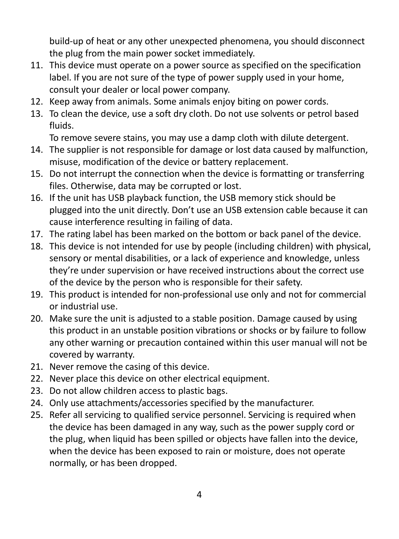build-up of heat or any other unexpected phenomena, you should disconnect the plug from the main power socket immediately.

- 11. This device must operate on a power source as specified on the specification label. If you are not sure of the type of power supply used in your home, consult your dealer or local power company.
- 12. Keep away from animals. Some animals enjoy biting on power cords.
- 13. To clean the device, use a soft dry cloth. Do not use solvents or petrol based fluids.

To remove severe stains, you may use a damp cloth with dilute detergent.

- 14. The supplier is not responsible for damage or lost data caused by malfunction, misuse, modification of the device or battery replacement.
- 15. Do not interrupt the connection when the device is formatting or transferring files. Otherwise, data may be corrupted or lost.
- 16. If the unit has USB playback function, the USB memory stick should be plugged into the unit directly. Don't use an USB extension cable because it can cause interference resulting in failing of data.
- 17. The rating label has been marked on the bottom or back panel of the device.
- 18. This device is not intended for use by people (including children) with physical, sensory or mental disabilities, or a lack of experience and knowledge, unless they're under supervision or have received instructions about the correct use of the device by the person who is responsible for their safety.
- 19. This product is intended for non-professional use only and not for commercial or industrial use.
- 20. Make sure the unit is adjusted to a stable position. Damage caused by using this product in an unstable position vibrations or shocks or by failure to follow any other warning or precaution contained within this user manual will not be covered by warranty.
- 21. Never remove the casing of this device.
- 22. Never place this device on other electrical equipment.
- 23. Do not allow children access to plastic bags.
- 24. Only use attachments/accessories specified by the manufacturer.
- 25. Refer all servicing to qualified service personnel. Servicing is required when the device has been damaged in any way, such as the power supply cord or the plug, when liquid has been spilled or objects have fallen into the device, when the device has been exposed to rain or moisture, does not operate normally, or has been dropped.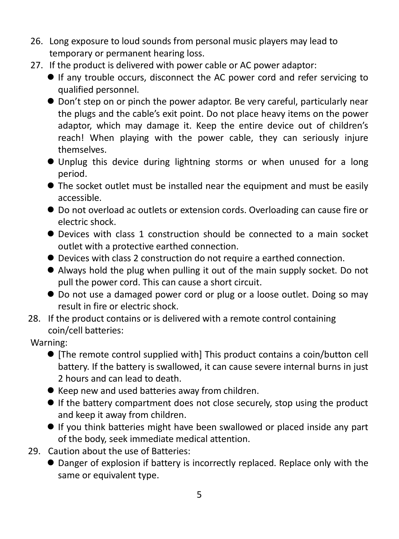- 26. Long exposure to loud sounds from personal music players may lead to temporary or permanent hearing loss.
- 27. If the product is delivered with power cable or AC power adaptor:
	- If any trouble occurs, disconnect the AC power cord and refer servicing to qualified personnel.
	- Don't step on or pinch the power adaptor. Be very careful, particularly near the plugs and the cable's exit point. Do not place heavy items on the power adaptor, which may damage it. Keep the entire device out of children's reach! When playing with the power cable, they can seriously injure themselves.
	- Unplug this device during lightning storms or when unused for a long period.
	- $\bullet$  The socket outlet must be installed near the equipment and must be easily accessible.
	- Do not overload ac outlets or extension cords. Overloading can cause fire or electric shock.
	- Devices with class 1 construction should be connected to a main socket outlet with a protective earthed connection.
	- Devices with class 2 construction do not require a earthed connection.
	- Always hold the plug when pulling it out of the main supply socket. Do not pull the power cord. This can cause a short circuit.
	- Do not use a damaged power cord or plug or a loose outlet. Doing so may result in fire or electric shock.
- 28. If the product contains or is delivered with a remote control containing coin/cell batteries:

#### Warning:

- [The remote control supplied with] This product contains a coin/button cell battery. If the battery is swallowed, it can cause severe internal burns in just 2 hours and can lead to death.
- Keep new and used batteries away from children.
- If the battery compartment does not close securely, stop using the product and keep it away from children.
- If you think batteries might have been swallowed or placed inside any part of the body, seek immediate medical attention.
- 29. Caution about the use of Batteries:
	- Danger of explosion if battery is incorrectly replaced. Replace only with the same or equivalent type.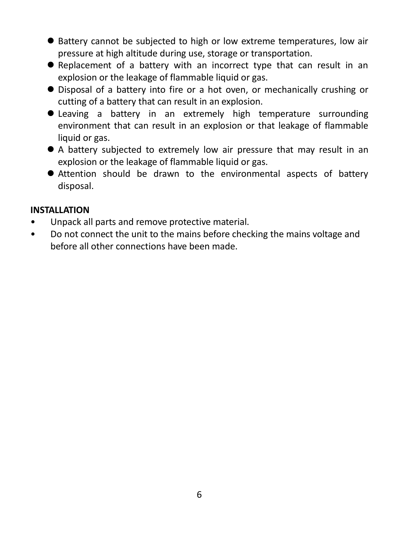- Battery cannot be subjected to high or low extreme temperatures, low air pressure at high altitude during use, storage or transportation.
- Replacement of a battery with an incorrect type that can result in an explosion or the leakage of flammable liquid or gas.
- Disposal of a battery into fire or a hot oven, or mechanically crushing or cutting of a battery that can result in an explosion.
- Leaving a battery in an extremely high temperature surrounding environment that can result in an explosion or that leakage of flammable liquid or gas.
- A battery subjected to extremely low air pressure that may result in an explosion or the leakage of flammable liquid or gas.
- Attention should be drawn to the environmental aspects of battery disposal.

#### **INSTALLATION**

- Unpack all parts and remove protective material.
- Do not connect the unit to the mains before checking the mains voltage and before all other connections have been made.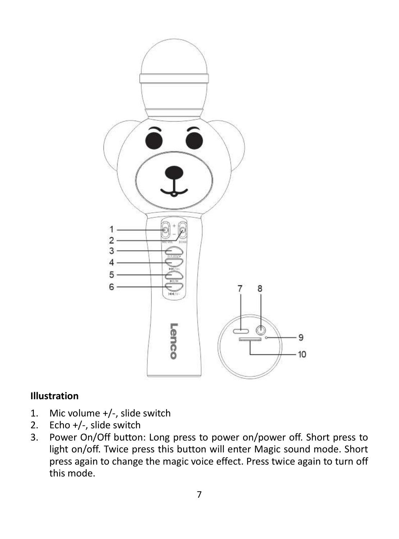

#### **Illustration**

- 1. Mic volume +/-, slide switch
- 2. Echo +/-, slide switch
- 3. Power On/Off button: Long press to power on/power off. Short press to light on/off. Twice press this button will enter Magic sound mode. Short press again to change the magic voice effect. Press twice again to turn off this mode.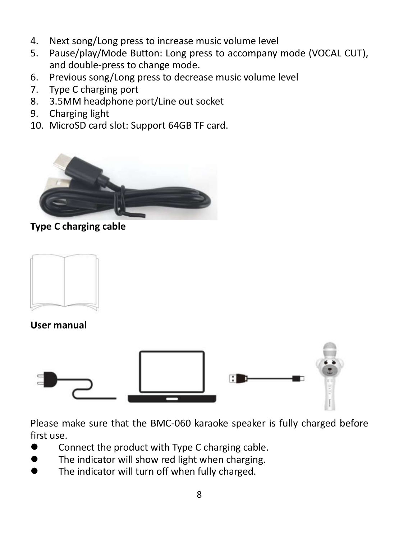- 4. Next song/Long press to increase music volume level
- 5. Pause/play/Mode Button: Long press to accompany mode (VOCAL CUT), and double-press to change mode.
- 6. Previous song/Long press to decrease music volume level
- 7. Type C charging port
- 8. 3.5MM headphone port/Line out socket
- 9. Charging light
- 10. MicroSD card slot: Support 64GB TF card.



**Type C charging cable**



**User manual**



Please make sure that the BMC-060 karaoke speaker is fully charged before first use.

- Connect the product with Type C charging cable.
- The indicator will show red light when charging.
- The indicator will turn off when fully charged.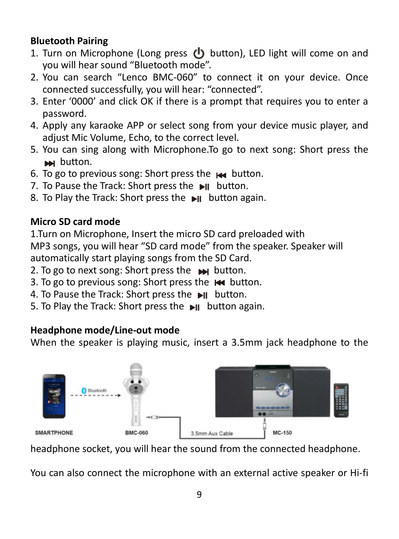#### **Bluetooth Pairing**

- 1. Turn on Microphone (Long press  $(b)$  button), LED light will come on and you will hear sound "Bluetooth mode".
- 2. You can search "Lenco BMC-060" to connect it on your device. Once connected successfully, you will hear: "connected".
- 3. Enter '0000' and click OK if there is a prompt that requires you to enter a password.
- 4. Apply any karaoke APP or select song from your device music player, and adjust Mic Volume, Echo, to the correct level.
- 5. You can sing along with Microphone.To go to next song: Short press the **button.**
- 6. To go to previous song: Short press the **144** button.
- 7. To Pause the Track: Short press the ►II button.
- 8. To Play the Track: Short press the button again.

#### **Micro SD card mode**

1.Turn on Microphone, Insert the micro SD card preloaded with MP3 songs, you will hear "SD card mode" from the speaker. Speaker will automatically start playing songs from the SD Card.

- 2. To go to next song: Short press the button.
- 3. To go to previous song: Short press the  $\mathsf{H}$  button.
- 4. To Pause the Track: Short press the  $\blacksquare$ Il button.
- 5. To Play the Track: Short press the ►II button again.

#### **Headphone mode/Line-out mode**

When the speaker is playing music, insert a 3.5mm jack headphone to the



headphone socket, you will hear the sound from the connected headphone.

You can also connect the microphone with an external active speaker or Hi-fi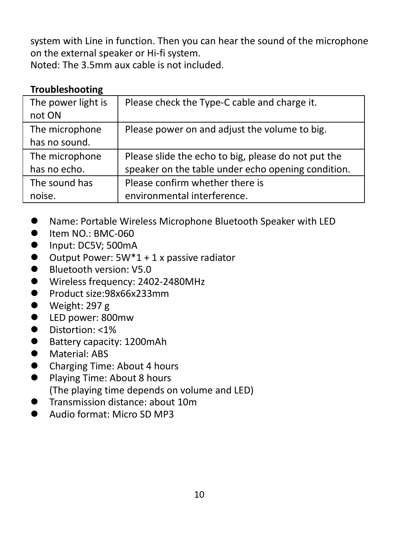system with Line in function. Then you can hear the sound of the microphone on the external speaker or Hi-fi system.

Noted: The 3.5mm aux cable is not included.

#### **Troubleshooting**

| The power light is<br>not ON | Please check the Type-C cable and charge it.        |
|------------------------------|-----------------------------------------------------|
|                              |                                                     |
| The microphone               | Please power on and adjust the volume to big.       |
| has no sound.                |                                                     |
| The microphone               | Please slide the echo to big, please do not put the |
| has no echo.                 | speaker on the table under echo opening condition.  |
| The sound has                | Please confirm whether there is                     |
| noise.                       | environmental interference.                         |

- Name: Portable Wireless Microphone Bluetooth Speaker with LED
- $\bullet$  Item NO.: BMC-060
- Input: DC5V: 500mA
- Output Power: 5W<sup>\*</sup>1 + 1 x passive radiator
- Bluetooth version: V5.0
- Wireless frequency: 2402-2480MHz
- Product size:98x66x233mm
- Weight: 297 g
- LED power: 800mw
- Distortion: <1%
- Battery capacity: 1200mAh
- Material: ABS
- Charging Time: About 4 hours
- Playing Time: About 8 hours (The playing time depends on volume and LED)
- **Transmission distance: about 10m**
- Audio format: Micro SD MP3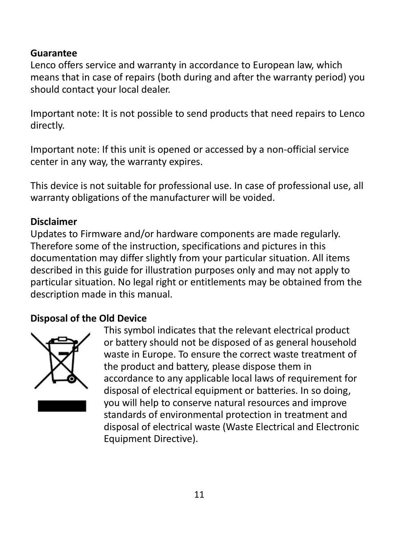#### **Guarantee**

Lenco offers service and warranty in accordance to European law, which means that in case of repairs (both during and after the warranty period) you should contact your local dealer.

Important note: It is not possible to send products that need repairs to Lenco directly.

Important note: If this unit is opened or accessed by a non-official service center in any way, the warranty expires.

This device is not suitable for professional use. In case of professional use, all warranty obligations of the manufacturer will be voided.

#### **Disclaimer**

Updates to Firmware and/or hardware components are made regularly. Therefore some of the instruction, specifications and pictures in this documentation may differ slightly from your particular situation. All items described in this guide for illustration purposes only and may not apply to particular situation. No legal right or entitlements may be obtained from the description made in this manual.

#### **Disposal of the Old Device**



This symbol indicates that the relevant electrical product or battery should not be disposed of as general household waste in Europe. To ensure the correct waste treatment of the product and battery, please dispose them in accordance to any applicable local laws of requirement for disposal of electrical equipment or batteries. In so doing, you will help to conserve natural resources and improve standards of environmental protection in treatment and disposal of electrical waste (Waste Electrical and Electronic Equipment Directive).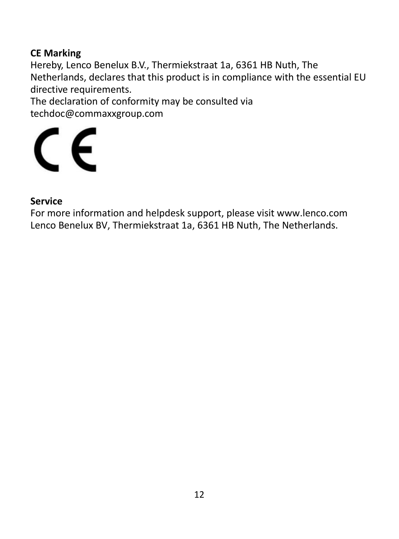#### **CE Marking**

Hereby, Lenco Benelux B.V., Thermiekstraat 1a, 6361 HB Nuth, The Netherlands, declares that this product is in compliance with the essential EU directive requirements.

The declaration of conformity may be consulted via techdoc@commaxxgroup.com



#### **Service**

For more information and helpdesk support, please visit www.lenco.com Lenco Benelux BV, Thermiekstraat 1a, 6361 HB Nuth, The Netherlands.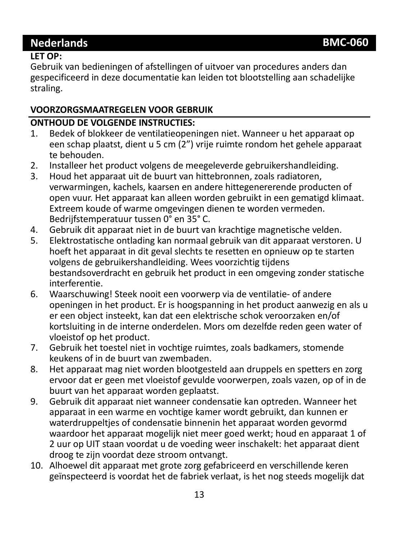### **Nederlands BMC-060**

#### **LET OP:**

Gebruik van bedieningen of afstellingen of uitvoer van procedures anders dan gespecificeerd in deze documentatie kan leiden tot blootstelling aan schadelijke straling.

#### **VOORZORGSMAATREGELEN VOOR GEBRUIK**

# **ONTHOUD DE VOLGENDE INSTRUCTIES:**<br>1. Bedek of blokkeer de ventilatieopen

- 1. Bedek of blokkeer de ventilatieopeningen niet. Wanneer u het apparaat op een schap plaatst, dient u 5 cm (2") vrije ruimte rondom het gehele apparaat te behouden.
- 2. Installeer het product volgens de meegeleverde gebruikershandleiding.<br>3. Houd het apparaat uit de buurt van hittebronnen, zoals radiatoren.
- 3. Houd het apparaat uit de buurt van hittebronnen, zoals radiatoren, verwarmingen, kachels, kaarsen en andere hittegenererende producten of open vuur. Het apparaat kan alleen worden gebruikt in een gematigd klimaat. Extreem koude of warme omgevingen dienen te worden vermeden. Bedrijfstemperatuur tussen 0° en 35° C.
- 4. Gebruik dit apparaat niet in de buurt van krachtige magnetische velden.<br>5. Elektrostatische ontlading kan normaal gebruik van dit apparaat verstore
- 5. Elektrostatische ontlading kan normaal gebruik van dit apparaat verstoren. U hoeft het apparaat in dit geval slechts te resetten en opnieuw op te starten volgens de gebruikershandleiding. Wees voorzichtig tijdens bestandsoverdracht en gebruik het product in een omgeving zonder statische interferentie.
- 6. Waarschuwing! Steek nooit een voorwerp via de ventilatie- of andere openingen in het product. Er is hoogspanning in het product aanwezig en als u er een object insteekt, kan dat een elektrische schok veroorzaken en/of kortsluiting in de interne onderdelen. Mors om dezelfde reden geen water of vloeistof op het product.
- 7. Gebruik het toestel niet in vochtige ruimtes, zoals badkamers, stomende keukens of in de buurt van zwembaden.
- 8. Het apparaat mag niet worden blootgesteld aan druppels en spetters en zorg ervoor dat er geen met vloeistof gevulde voorwerpen, zoals vazen, op of in de buurt van het apparaat worden geplaatst.
- 9. Gebruik dit apparaat niet wanneer condensatie kan optreden. Wanneer het apparaat in een warme en vochtige kamer wordt gebruikt, dan kunnen er waterdruppeltjes of condensatie binnenin het apparaat worden gevormd waardoor het apparaat mogelijk niet meer goed werkt; houd en apparaat 1 of 2 uur op UIT staan voordat u de voeding weer inschakelt: het apparaat dient droog te zijn voordat deze stroom ontvangt.
- 10. Alhoewel dit apparaat met grote zorg gefabriceerd en verschillende keren geïnspecteerd is voordat het de fabriek verlaat, is het nog steeds mogelijk dat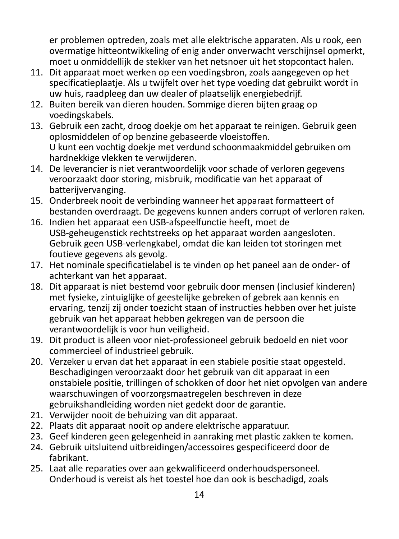er problemen optreden, zoals met alle elektrische apparaten. Als u rook, een overmatige hitteontwikkeling of enig ander onverwacht verschijnsel opmerkt, moet u onmiddellijk de stekker van het netsnoer uit het stopcontact halen.

- 11. Dit apparaat moet werken op een voedingsbron, zoals aangegeven op het specificatieplaatje. Als u twijfelt over het type voeding dat gebruikt wordt in uw huis, raadpleeg dan uw dealer of plaatselijk energiebedrijf.
- 12. Buiten bereik van dieren houden. Sommige dieren bijten graag op voedingskabels.
- 13. Gebruik een zacht, droog doekje om het apparaat te reinigen. Gebruik geen oplosmiddelen of op benzine gebaseerde vloeistoffen. U kunt een vochtig doekje met verdund schoonmaakmiddel gebruiken om hardnekkige vlekken te verwijderen.
- 14. De leverancier is niet verantwoordelijk voor schade of verloren gegevens veroorzaakt door storing, misbruik, modificatie van het apparaat of batterijvervanging.
- 15. Onderbreek nooit de verbinding wanneer het apparaat formatteert of bestanden overdraagt. De gegevens kunnen anders corrupt of verloren raken.
- 16. Indien het apparaat een USB-afspeelfunctie heeft, moet de USB-geheugenstick rechtstreeks op het apparaat worden aangesloten. Gebruik geen USB-verlengkabel, omdat die kan leiden tot storingen met foutieve gegevens als gevolg.
- 17. Het nominale specificatielabel is te vinden op het paneel aan de onder- of achterkant van het apparaat.
- 18. Dit apparaat is niet bestemd voor gebruik door mensen (inclusief kinderen) met fysieke, zintuiglijke of geestelijke gebreken of gebrek aan kennis en ervaring, tenzij zij onder toezicht staan of instructies hebben over het juiste gebruik van het apparaat hebben gekregen van de persoon die verantwoordelijk is voor hun veiligheid.
- 19. Dit product is alleen voor niet-professioneel gebruik bedoeld en niet voor commercieel of industrieel gebruik.
- 20. Verzeker u ervan dat het apparaat in een stabiele positie staat opgesteld. Beschadigingen veroorzaakt door het gebruik van dit apparaat in een onstabiele positie, trillingen of schokken of door het niet opvolgen van andere waarschuwingen of voorzorgsmaatregelen beschreven in deze gebruikshandleiding worden niet gedekt door de garantie.
- 21. Verwijder nooit de behuizing van dit apparaat.
- 22. Plaats dit apparaat nooit op andere elektrische apparatuur.
- 23. Geef kinderen geen gelegenheid in aanraking met plastic zakken te komen.
- 24. Gebruik uitsluitend uitbreidingen/accessoires gespecificeerd door de fabrikant.
- 25. Laat alle reparaties over aan gekwalificeerd onderhoudspersoneel. Onderhoud is vereist als het toestel hoe dan ook is beschadigd, zoals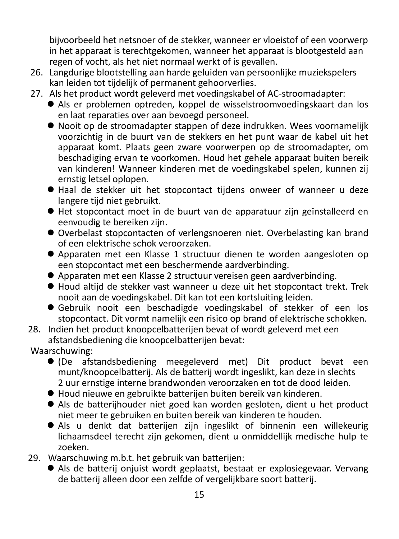bijvoorbeeld het netsnoer of de stekker, wanneer er vloeistof of een voorwerp in het apparaat is terechtgekomen, wanneer het apparaat is blootgesteld aan regen of vocht, als het niet normaal werkt of is gevallen.

- 26. Langdurige blootstelling aan harde geluiden van persoonlijke muziekspelers kan leiden tot tijdelijk of permanent gehoorverlies.
- 27. Als het product wordt geleverd met voedingskabel of AC-stroomadapter:
	- Als er problemen optreden, koppel de wisselstroomvoedingskaart dan los en laat reparaties over aan bevoegd personeel.
	- Nooit op de stroomadapter stappen of deze indrukken. Wees voornamelijk voorzichtig in de buurt van de stekkers en het punt waar de kabel uit het apparaat komt. Plaats geen zware voorwerpen op de stroomadapter, om beschadiging ervan te voorkomen. Houd het gehele apparaat buiten bereik van kinderen! Wanneer kinderen met de voedingskabel spelen, kunnen zij ernstig letsel oplopen.
	- Haal de stekker uit het stopcontact tijdens onweer of wanneer u deze langere tijd niet gebruikt.
	- Het stopcontact moet in de buurt van de apparatuur zijn geïnstalleerd en eenvoudig te bereiken zijn.
	- Overbelast stopcontacten of verlengsnoeren niet. Overbelasting kan brand of een elektrische schok veroorzaken.
	- Apparaten met een Klasse 1 structuur dienen te worden aangesloten op een stopcontact met een beschermende aardverbinding.
	- Apparaten met een Klasse 2 structuur vereisen geen aardverbinding.
	- Houd altijd de stekker vast wanneer u deze uit het stopcontact trekt. Trek nooit aan de voedingskabel. Dit kan tot een kortsluiting leiden.
	- Gebruik nooit een beschadigde voedingskabel of stekker of een los stopcontact. Dit vormt namelijk een risico op brand of elektrische schokken.
- 28. Indien het product knoopcelbatterijen bevat of wordt geleverd met een afstandsbediening die knoopcelbatterijen bevat:

Waarschuwing:

- (De afstandsbediening meegeleverd met) Dit product bevat een munt/knoopcelbatterij. Als de batterij wordt ingeslikt, kan deze in slechts 2 uur ernstige interne brandwonden veroorzaken en tot de dood leiden.
- Houd nieuwe en gebruikte batterijen buiten bereik van kinderen.
- Als de batterijhouder niet goed kan worden gesloten, dient u het product niet meer te gebruiken en buiten bereik van kinderen te houden.
- Als u denkt dat batterijen zijn ingeslikt of binnenin een willekeurig lichaamsdeel terecht zijn gekomen, dient u onmiddellijk medische hulp te zoeken.
- 29. Waarschuwing m.b.t. het gebruik van batterijen:
	- Als de batterij onjuist wordt geplaatst, bestaat er explosiegevaar. Vervang de batterij alleen door een zelfde of vergelijkbare soort batterij.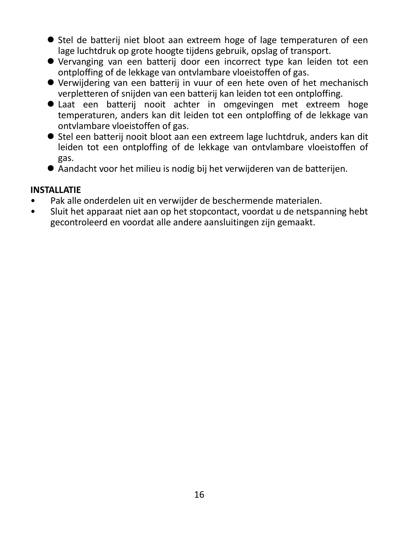- Stel de batterij niet bloot aan extreem hoge of lage temperaturen of een lage luchtdruk op grote hoogte tijdens gebruik, opslag of transport.
- Vervanging van een batterij door een incorrect type kan leiden tot een ontploffing of de lekkage van ontvlambare vloeistoffen of gas.
- Verwijdering van een batterij in vuur of een hete oven of het mechanisch verpletteren of snijden van een batterij kan leiden tot een ontploffing.
- Laat een batterij nooit achter in omgevingen met extreem hoge temperaturen, anders kan dit leiden tot een ontploffing of de lekkage van ontvlambare vloeistoffen of gas.
- Stel een batterij nooit bloot aan een extreem lage luchtdruk, anders kan dit leiden tot een ontploffing of de lekkage van ontvlambare vloeistoffen of gas.
- Aandacht voor het milieu is nodig bij het verwijderen van de batterijen.

#### **INSTALLATIE**

- Pak alle onderdelen uit en verwijder de beschermende materialen.<br>• Sluit het apparaat niet aan op het stopcontact, voordat uide netspa
- Sluit het apparaat niet aan op het stopcontact, voordat u de netspanning hebt gecontroleerd en voordat alle andere aansluitingen zijn gemaakt.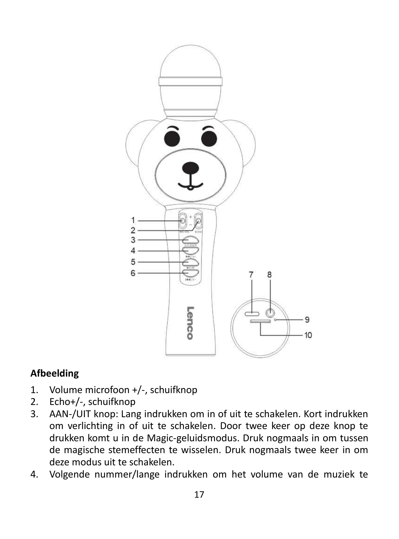

#### **Afbeelding**

- 1. Volume microfoon +/-, schuifknop
- 2. Echo+/-, schuifknop
- 3. AAN-/UIT knop: Lang indrukken om in of uit te schakelen. Kort indrukken om verlichting in of uit te schakelen. Door twee keer op deze knop te drukken komt u in de Magic-geluidsmodus. Druk nogmaals in om tussen de magische stemeffecten te wisselen. Druk nogmaals twee keer in om deze modus uit te schakelen.
- 4. Volgende nummer/lange indrukken om het volume van de muziek te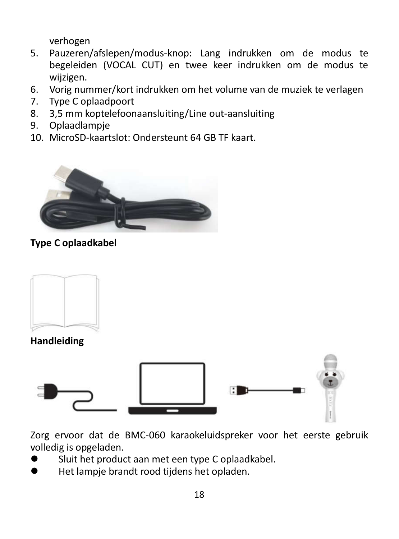verhogen

- 5. Pauzeren/afslepen/modus-knop: Lang indrukken om de modus te begeleiden (VOCAL CUT) en twee keer indrukken om de modus te wijzigen.
- 6. Vorig nummer/kort indrukken om het volume van de muziek te verlagen
- 7. Type C oplaadpoort
- 8. 3,5 mm koptelefoonaansluiting/Line out-aansluiting
- 9. Oplaadlampje
- 10. MicroSD-kaartslot: Ondersteunt 64 GB TF kaart.



#### **Type C oplaadkabel**



#### **Handleiding**



Zorg ervoor dat de BMC-060 karaokeluidspreker voor het eerste gebruik volledig is opgeladen.

- Sluit het product aan met een type C oplaadkabel.
- Het lampje brandt rood tijdens het opladen.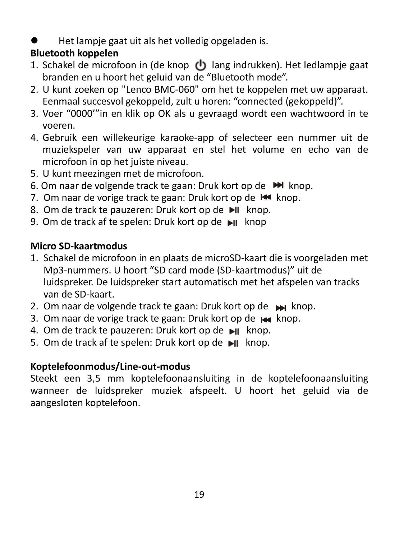Het lampje gaat uit als het volledig opgeladen is.

### **Bluetooth koppelen**

- 1. Schakel de microfoon in (de knop  $\langle \cdot \rangle$  lang indrukken). Het ledlampje gaat branden en u hoort het geluid van de "Bluetooth mode".
- 2. U kunt zoeken op "Lenco BMC-060" om het te koppelen met uw apparaat. Eenmaal succesvol gekoppeld, zult u horen: "connected (gekoppeld)".
- 3. Voer "0000'"in en klik op OK als u gevraagd wordt een wachtwoord in te voeren.
- 4. Gebruik een willekeurige karaoke-app of selecteer een nummer uit de muziekspeler van uw apparaat en stel het volume en echo van de microfoon in op het juiste niveau.
- 5. U kunt meezingen met de microfoon.
- 6. Om naar de volgende track te gaan: Druk kort op de  $\blacktriangleright$  knop.
- 7. Om naar de vorige track te gaan: Druk kort op de KI knop.
- 8. Om de track te pauzeren: Druk kort op de II knop.
- 9. Om de track af te spelen: Druk kort op de ►IL knop

#### **Micro SD-kaartmodus**

- 1. Schakel de microfoon in en plaats de microSD-kaart die is voorgeladen met Mp3-nummers. U hoort "SD card mode (SD-kaartmodus)" uit de luidspreker. De luidspreker start automatisch met het afspelen van tracks van de SD-kaart.
- 2. Om naar de volgende track te gaan: Druk kort op de  $\rightarrow$  knop.
- 3. Om naar de vorige track te gaan: Druk kort op de Kankanop.
- 4. Om de track te pauzeren: Druk kort op de II knop.
- 5. Om de track af te spelen: Druk kort op de ►II knop.

#### **Koptelefoonmodus/Line-out-modus**

Steekt een 3,5 mm koptelefoonaansluiting in de koptelefoonaansluiting wanneer de luidspreker muziek afspeelt. U hoort het geluid via de aangesloten koptelefoon.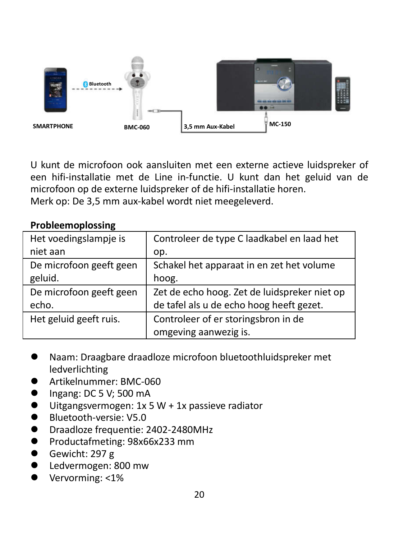

U kunt de microfoon ook aansluiten met een externe actieve luidspreker of een hifi-installatie met de Line in-functie. U kunt dan het geluid van de microfoon op de externe luidspreker of de hifi-installatie horen. Merk op: De 3,5 mm aux-kabel wordt niet meegeleverd.

#### **Probleemoplossing**

| Het voedingslampje is   | Controleer de type C laadkabel en laad het   |
|-------------------------|----------------------------------------------|
| niet aan                | op.                                          |
| De microfoon geeft geen | Schakel het apparaat in en zet het volume    |
| geluid.                 | hoog.                                        |
| De microfoon geeft geen | Zet de echo hoog. Zet de luidspreker niet op |
| echo.                   | de tafel als u de echo hoog heeft gezet.     |
| Het geluid geeft ruis.  | Controleer of er storingsbron in de          |
|                         | omgeving aanwezig is.                        |

- Naam: Draagbare draadloze microfoon bluetoothluidspreker met ledverlichting
- Artikelnummer: BMC-060
- $\bullet$  Ingang: DC 5 V; 500 mA
- $\bullet$  Uitgangsvermogen: 1x 5 W + 1x passieve radiator
- Bluetooth-versie: V5.0
- Draadloze frequentie: 2402-2480MHz
- Productafmeting: 98x66x233 mm
- Gewicht: 297 g
- Ledvermogen: 800 mw
- Vervorming: <1%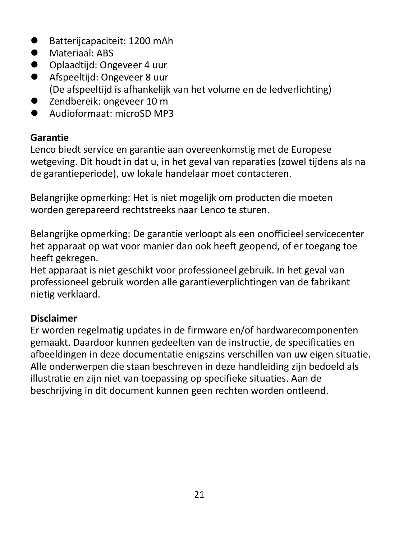- Batteriicapaciteit: 1200 mAh
- Materiaal: ABS
- Oplaadtijd: Ongeveer 4 uur
- Afspeeltijd: Ongeveer 8 uur (De afspeeltijd is afhankelijk van het volume en de ledverlichting)
- Zendbereik: ongeveer 10 m
- **Audioformaat:** microSD MP3

#### **Garantie**

Lenco biedt service en garantie aan overeenkomstig met de Europese wetgeving. Dit houdt in dat u, in het geval van reparaties (zowel tijdens als na de garantieperiode), uw lokale handelaar moet contacteren.

Belangrijke opmerking: Het is niet mogelijk om producten die moeten worden gerepareerd rechtstreeks naar Lenco te sturen.

Belangrijke opmerking: De garantie verloopt als een onofficieel servicecenter het apparaat op wat voor manier dan ook heeft geopend, of er toegang toe heeft gekregen.

Het apparaat is niet geschikt voor professioneel gebruik. In het geval van professioneel gebruik worden alle garantieverplichtingen van de fabrikant nietig verklaard.

#### **Disclaimer**

Er worden regelmatig updates in de firmware en/of hardwarecomponenten gemaakt. Daardoor kunnen gedeelten van de instructie, de specificaties en afbeeldingen in deze documentatie enigszins verschillen van uw eigen situatie. Alle onderwerpen die staan beschreven in deze handleiding zijn bedoeld als illustratie en zijn niet van toepassing op specifieke situaties. Aan de beschrijving in dit document kunnen geen rechten worden ontleend.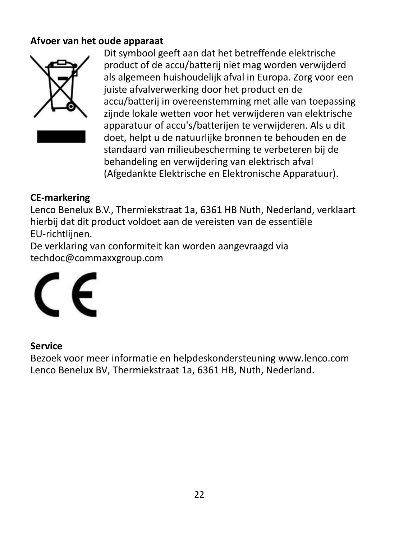#### **Afvoer van het oude apparaat**



Dit symbool geeft aan dat het betreffende elektrische product of de accu/batterij niet mag worden verwijderd als algemeen huishoudelijk afval in Europa. Zorg voor een juiste afvalverwerking door het product en de accu/batterij in overeenstemming met alle van toepassing zijnde lokale wetten voor het verwijderen van elektrische apparatuur of accu's/batterijen te verwijderen. Als u dit doet, helpt u de natuurlijke bronnen te behouden en de standaard van milieubescherming te verbeteren bij de behandeling en verwijdering van elektrisch afval (Afgedankte Elektrische en Elektronische Apparatuur).

#### **CE-markering**

Lenco Benelux B.V., Thermiekstraat 1a, 6361 HB Nuth, Nederland, verklaart hierbij dat dit product voldoet aan de vereisten van de essentiële EU-richtlijnen.

De verklaring van conformiteit kan worden aangevraagd via techdoc@commaxxgroup.com



#### **Service**

Bezoek voor meer informatie en helpdeskondersteuning www.lenco.com Lenco Benelux BV, Thermiekstraat 1a, 6361 HB, Nuth, Nederland.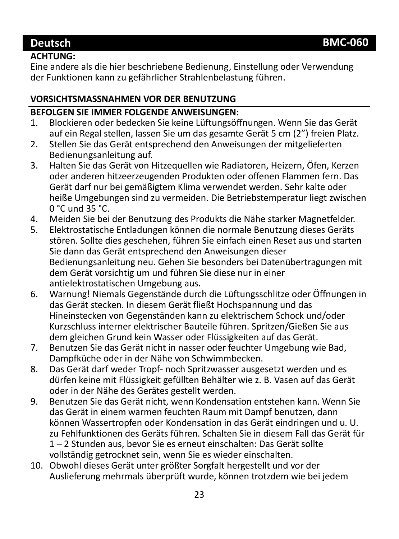#### **Deutsch BMC-060**

#### **ACHTUNG:**

Eine andere als die hier beschriebene Bedienung, Einstellung oder Verwendung der Funktionen kann zu gefährlicher Strahlenbelastung führen.

#### **VORSICHTSMASSNAHMEN VOR DER BENUTZUNG**

#### **BEFOLGEN SIE IMMER FOLGENDE ANWEISUNGEN:**

- 1. Blockieren oder bedecken Sie keine Lüftungsöffnungen. Wenn Sie das Gerät auf ein Regal stellen, lassen Sie um das gesamte Gerät 5 cm (2") freien Platz.
- 2. Stellen Sie das Gerät entsprechend den Anweisungen der mitgelieferten Bedienungsanleitung auf.
- 3. Halten Sie das Gerät von Hitzequellen wie Radiatoren, Heizern, Öfen, Kerzen oder anderen hitzeerzeugenden Produkten oder offenen Flammen fern. Das Gerät darf nur bei gemäßigtem Klima verwendet werden. Sehr kalte oder heiße Umgebungen sind zu vermeiden. Die Betriebstemperatur liegt zwischen 0 °C und 35 °C.
- 4. Meiden Sie bei der Benutzung des Produkts die Nähe starker Magnetfelder.<br>5. Elektrostatische Entladungen können die normale Benutzung dieses Geräts.
- 5. Elektrostatische Entladungen können die normale Benutzung dieses Geräts stören. Sollte dies geschehen, führen Sie einfach einen Reset aus und starten Sie dann das Gerät entsprechend den Anweisungen dieser Bedienungsanleitung neu. Gehen Sie besonders bei Datenübertragungen mit dem Gerät vorsichtig um und führen Sie diese nur in einer antielektrostatischen Umgebung aus.
- 6. Warnung! Niemals Gegenstände durch die Lüftungsschlitze oder Öffnungen in das Gerät stecken. In diesem Gerät fließt Hochspannung und das Hineinstecken von Gegenständen kann zu elektrischem Schock und/oder Kurzschluss interner elektrischer Bauteile führen. Spritzen/Gießen Sie aus dem gleichen Grund kein Wasser oder Flüssigkeiten auf das Gerät.
- 7. Benutzen Sie das Gerät nicht in nasser oder feuchter Umgebung wie Bad, Dampfküche oder in der Nähe von Schwimmbecken.
- 8. Das Gerät darf weder Tropf- noch Spritzwasser ausgesetzt werden und es dürfen keine mit Flüssigkeit gefüllten Behälter wie z. B. Vasen auf das Gerät oder in der Nähe des Gerätes gestellt werden.
- 9. Benutzen Sie das Gerät nicht, wenn Kondensation entstehen kann. Wenn Sie das Gerät in einem warmen feuchten Raum mit Dampf benutzen, dann können Wassertropfen oder Kondensation in das Gerät eindringen und u. U. zu Fehlfunktionen des Geräts führen. Schalten Sie in diesem Fall das Gerät für 1 – 2 Stunden aus, bevor Sie es erneut einschalten: Das Gerät sollte vollständig getrocknet sein, wenn Sie es wieder einschalten.
- 10. Obwohl dieses Gerät unter größter Sorgfalt hergestellt und vor der Auslieferung mehrmals überprüft wurde, können trotzdem wie bei jedem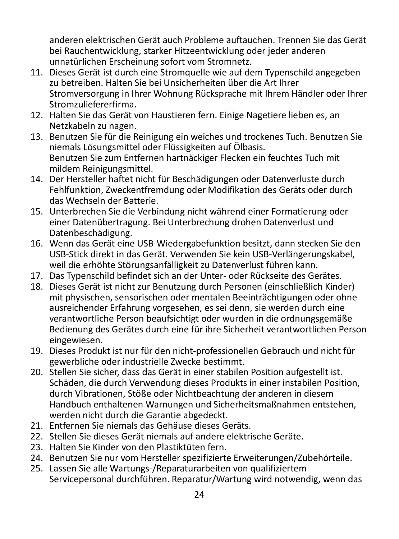anderen elektrischen Gerät auch Probleme auftauchen. Trennen Sie das Gerät bei Rauchentwicklung, starker Hitzeentwicklung oder jeder anderen unnatürlichen Erscheinung sofort vom Stromnetz.

- 11. Dieses Gerät ist durch eine Stromquelle wie auf dem Typenschild angegeben zu betreiben. Halten Sie bei Unsicherheiten über die Art Ihrer Stromversorgung in Ihrer Wohnung Rücksprache mit Ihrem Händler oder Ihrer Stromzuliefererfirma.
- 12. Halten Sie das Gerät von Haustieren fern. Einige Nagetiere lieben es, an Netzkabeln zu nagen.
- 13. Benutzen Sie für die Reinigung ein weiches und trockenes Tuch. Benutzen Sie niemals Lösungsmittel oder Flüssigkeiten auf Ölbasis. Benutzen Sie zum Entfernen hartnäckiger Flecken ein feuchtes Tuch mit mildem Reinigungsmittel.
- 14. Der Hersteller haftet nicht für Beschädigungen oder Datenverluste durch Fehlfunktion, Zweckentfremdung oder Modifikation des Geräts oder durch das Wechseln der Batterie.
- 15. Unterbrechen Sie die Verbindung nicht während einer Formatierung oder einer Datenübertragung. Bei Unterbrechung drohen Datenverlust und Datenbeschädigung.
- 16. Wenn das Gerät eine USB-Wiedergabefunktion besitzt, dann stecken Sie den USB-Stick direkt in das Gerät. Verwenden Sie kein USB-Verlängerungskabel, weil die erhöhte Störungsanfälligkeit zu Datenverlust führen kann.
- 17. Das Typenschild befindet sich an der Unter- oder Rückseite des Gerätes.
- 18. Dieses Gerät ist nicht zur Benutzung durch Personen (einschließlich Kinder) mit physischen, sensorischen oder mentalen Beeinträchtigungen oder ohne ausreichender Erfahrung vorgesehen, es sei denn, sie werden durch eine verantwortliche Person beaufsichtigt oder wurden in die ordnungsgemäße Bedienung des Gerätes durch eine für ihre Sicherheit verantwortlichen Person eingewiesen.
- 19. Dieses Produkt ist nur für den nicht-professionellen Gebrauch und nicht für gewerbliche oder industrielle Zwecke bestimmt.
- 20. Stellen Sie sicher, dass das Gerät in einer stabilen Position aufgestellt ist. Schäden, die durch Verwendung dieses Produkts in einer instabilen Position, durch Vibrationen, Stöße oder Nichtbeachtung der anderen in diesem Handbuch enthaltenen Warnungen und Sicherheitsmaßnahmen entstehen, werden nicht durch die Garantie abgedeckt.
- 21. Entfernen Sie niemals das Gehäuse dieses Geräts.
- 22. Stellen Sie dieses Gerät niemals auf andere elektrische Geräte.
- 23. Halten Sie Kinder von den Plastiktüten fern.
- 24. Benutzen Sie nur vom Hersteller spezifizierte Erweiterungen/Zubehörteile.
- 25. Lassen Sie alle Wartungs-/Reparaturarbeiten von qualifiziertem Servicepersonal durchführen. Reparatur/Wartung wird notwendig, wenn das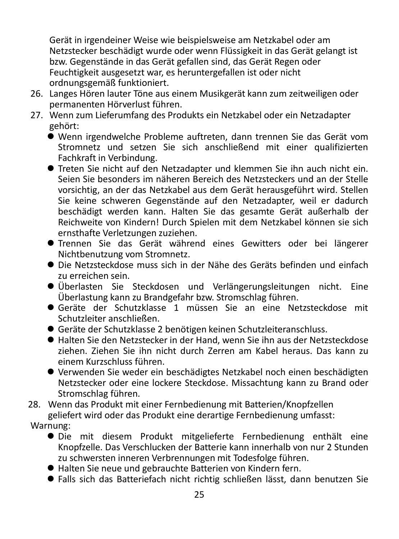Gerät in irgendeiner Weise wie beispielsweise am Netzkabel oder am Netzstecker beschädigt wurde oder wenn Flüssigkeit in das Gerät gelangt ist bzw. Gegenstände in das Gerät gefallen sind, das Gerät Regen oder Feuchtigkeit ausgesetzt war, es heruntergefallen ist oder nicht ordnungsgemäß funktioniert.

- 26. Langes Hören lauter Töne aus einem Musikgerät kann zum zeitweiligen oder permanenten Hörverlust führen.
- 27. Wenn zum Lieferumfang des Produkts ein Netzkabel oder ein Netzadapter gehört:
	- Wenn irgendwelche Probleme auftreten, dann trennen Sie das Gerät vom Stromnetz und setzen Sie sich anschließend mit einer qualifizierten Fachkraft in Verbindung.
	- Treten Sie nicht auf den Netzadapter und klemmen Sie ihn auch nicht ein. Seien Sie besonders im näheren Bereich des Netzsteckers und an der Stelle vorsichtig, an der das Netzkabel aus dem Gerät herausgeführt wird. Stellen Sie keine schweren Gegenstände auf den Netzadapter, weil er dadurch beschädigt werden kann. Halten Sie das gesamte Gerät außerhalb der Reichweite von Kindern! Durch Spielen mit dem Netzkabel können sie sich ernsthafte Verletzungen zuziehen.
	- Trennen Sie das Gerät während eines Gewitters oder bei längerer Nichtbenutzung vom Stromnetz.
	- Die Netzsteckdose muss sich in der Nähe des Geräts befinden und einfach zu erreichen sein.
	- Überlasten Sie Steckdosen und Verlängerungsleitungen nicht. Eine Überlastung kann zu Brandgefahr bzw. Stromschlag führen.
	- Geräte der Schutzklasse 1 müssen Sie an eine Netzsteckdose mit Schutzleiter anschließen.
	- Geräte der Schutzklasse 2 benötigen keinen Schutzleiteranschluss.
	- Halten Sie den Netzstecker in der Hand, wenn Sie ihn aus der Netzsteckdose ziehen. Ziehen Sie ihn nicht durch Zerren am Kabel heraus. Das kann zu einem Kurzschluss führen.
	- Verwenden Sie weder ein beschädigtes Netzkabel noch einen beschädigten Netzstecker oder eine lockere Steckdose. Missachtung kann zu Brand oder Stromschlag führen.
- 28. Wenn das Produkt mit einer Fernbedienung mit Batterien/Knopfzellen geliefert wird oder das Produkt eine derartige Fernbedienung umfasst: Warnung:
	- Die mit diesem Produkt mitgelieferte Fernbedienung enthält eine Knopfzelle. Das Verschlucken der Batterie kann innerhalb von nur 2 Stunden zu schwersten inneren Verbrennungen mit Todesfolge führen.
	- Halten Sie neue und gebrauchte Batterien von Kindern fern.
	- Falls sich das Batteriefach nicht richtig schließen lässt, dann benutzen Sie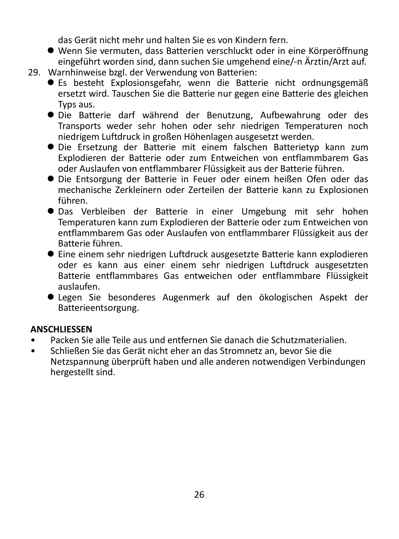das Gerät nicht mehr und halten Sie es von Kindern fern.

- Wenn Sie vermuten, dass Batterien verschluckt oder in eine Körperöffnung eingeführt worden sind, dann suchen Sie umgehend eine/-n Ärztin/Arzt auf.
- 29. Warnhinweise bzgl. der Verwendung von Batterien:
	- Es besteht Explosionsgefahr, wenn die Batterie nicht ordnungsgemäß ersetzt wird. Tauschen Sie die Batterie nur gegen eine Batterie des gleichen Typs aus.
	- Die Batterie darf während der Benutzung, Aufbewahrung oder des Transports weder sehr hohen oder sehr niedrigen Temperaturen noch niedrigem Luftdruck in großen Höhenlagen ausgesetzt werden.
	- Die Ersetzung der Batterie mit einem falschen Batterietyp kann zum Explodieren der Batterie oder zum Entweichen von entflammbarem Gas oder Auslaufen von entflammbarer Flüssigkeit aus der Batterie führen.
	- Die Entsorgung der Batterie in Feuer oder einem heißen Ofen oder das mechanische Zerkleinern oder Zerteilen der Batterie kann zu Explosionen führen.
	- Das Verbleiben der Batterie in einer Umgebung mit sehr hohen Temperaturen kann zum Explodieren der Batterie oder zum Entweichen von entflammbarem Gas oder Auslaufen von entflammbarer Flüssigkeit aus der Batterie führen.
	- Eine einem sehr niedrigen Luftdruck ausgesetzte Batterie kann explodieren oder es kann aus einer einem sehr niedrigen Luftdruck ausgesetzten Batterie entflammbares Gas entweichen oder entflammbare Flüssigkeit auslaufen.
	- Legen Sie besonderes Augenmerk auf den ökologischen Aspekt der Batterieentsorgung.

#### **ANSCHLIESSEN**

- Packen Sie alle Teile aus und entfernen Sie danach die Schutzmaterialien.
- Schließen Sie das Gerät nicht eher an das Stromnetz an, bevor Sie die Netzspannung überprüft haben und alle anderen notwendigen Verbindungen hergestellt sind.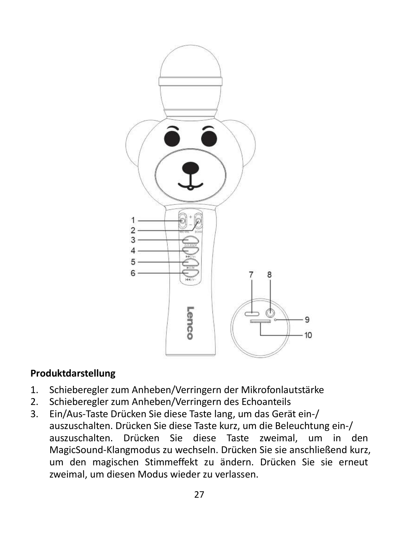

#### **Produktdarstellung**

- 1. Schieberegler zum Anheben/Verringern der Mikrofonlautstärke
- 2. Schieberegler zum Anheben/Verringern des Echoanteils
- 3. Ein/Aus-Taste Drücken Sie diese Taste lang, um das Gerät ein-/ auszuschalten. Drücken Sie diese Taste kurz, um die Beleuchtung ein-/ auszuschalten. Drücken Sie diese Taste zweimal, um in den MagicSound-Klangmodus zu wechseln. Drücken Sie sie anschließend kurz, um den magischen Stimmeffekt zu ändern. Drücken Sie sie erneut zweimal, um diesen Modus wieder zu verlassen.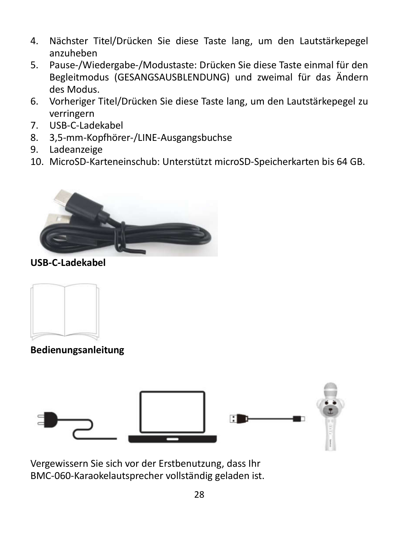- 4. Nächster Titel/Drücken Sie diese Taste lang, um den Lautstärkepegel anzuheben
- 5. Pause-/Wiedergabe-/Modustaste: Drücken Sie diese Taste einmal für den Begleitmodus (GESANGSAUSBLENDUNG) und zweimal für das Ändern des Modus.
- 6. Vorheriger Titel/Drücken Sie diese Taste lang, um den Lautstärkepegel zu verringern
- 7. USB-C-Ladekabel
- 8. 3,5-mm-Kopfhörer-/LINE-Ausgangsbuchse
- 9. Ladeanzeige
- 10. MicroSD-Karteneinschub: Unterstützt microSD-Speicherkarten bis 64 GB.



**USB-C-Ladekabel**



**Bedienungsanleitung**



Vergewissern Sie sich vor der Erstbenutzung, dass Ihr BMC-060-Karaokelautsprecher vollständig geladen ist.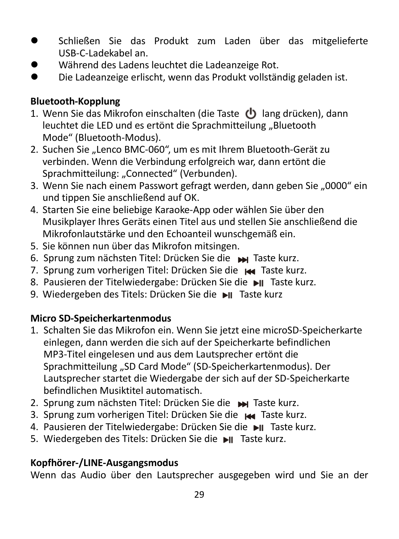- Schließen Sie das Produkt zum Laden über das mitgelieferte USB-C-Ladekabel an.
- Während des Ladens leuchtet die Ladeanzeige Rot.<br>● Die Ladeanzeige erlischt, wenn das Produkt vollstär
- Die Ladeanzeige erlischt, wenn das Produkt vollständig geladen ist.

#### **Bluetooth-Kopplung**

- 1. Wenn Sie das Mikrofon einschalten (die Taste (b) lang drücken), dann leuchtet die LED und es ertönt die Sprachmitteilung "Bluetooth Mode" (Bluetooth-Modus).
- 2. Suchen Sie "Lenco BMC-060", um es mit Ihrem Bluetooth-Gerät zu verbinden. Wenn die Verbindung erfolgreich war, dann ertönt die Sprachmitteilung: "Connected" (Verbunden).
- 3. Wenn Sie nach einem Passwort gefragt werden, dann geben Sie "0000" ein und tippen Sie anschließend auf OK.
- 4. Starten Sie eine beliebige Karaoke-App oder wählen Sie über den Musikplayer Ihres Geräts einen Titel aus und stellen Sie anschließend die Mikrofonlautstärke und den Echoanteil wunschgemäß ein.
- 5. Sie können nun über das Mikrofon mitsingen.
- 6. Sprung zum nächsten Titel: Drücken Sie die Taste kurz.
- 7. Sprung zum vorherigen Titel: Drücken Sie die Name Taste kurz.
- 8. Pausieren der Titelwiedergabe: Drücken Sie die ►II Taste kurz.
- 9. Wiedergeben des Titels: Drücken Sie die ▶ Taste kurz

### **Micro SD-Speicherkartenmodus**

- 1. Schalten Sie das Mikrofon ein. Wenn Sie jetzt eine microSD-Speicherkarte einlegen, dann werden die sich auf der Speicherkarte befindlichen MP3-Titel eingelesen und aus dem Lautsprecher ertönt die Sprachmitteilung "SD Card Mode" (SD-Speicherkartenmodus). Der Lautsprecher startet die Wiedergabe der sich auf der SD-Speicherkarte befindlichen Musiktitel automatisch.
- 2. Sprung zum nächsten Titel: Drücken Sie die W Taste kurz.
- 3. Sprung zum vorherigen Titel: Drücken Sie die Name Taste kurz.
- 4. Pausieren der Titelwiedergabe: Drücken Sie die II Taste kurz.
- 5. Wiedergeben des Titels: Drücken Sie die ▶ Taste kurz.

### **Kopfhörer-/LINE-Ausgangsmodus**

Wenn das Audio über den Lautsprecher ausgegeben wird und Sie an der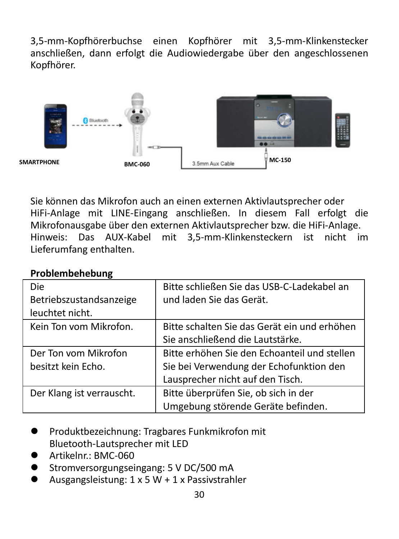3,5-mm-Kopfhörerbuchse einen Kopfhörer mit 3,5-mm-Klinkenstecker anschließen, dann erfolgt die Audiowiedergabe über den angeschlossenen Kopfhörer.



Sie können das Mikrofon auch an einen externen Aktivlautsprecher oder HiFi-Anlage mit LINE-Eingang anschließen. In diesem Fall erfolgt die Mikrofonausgabe über den externen Aktivlautsprecher bzw. die HiFi-Anlage. Hinweis: Das AUX-Kabel mit 3,5-mm-Klinkensteckern ist nicht im Lieferumfang enthalten.

| <b>Die</b>                | Bitte schließen Sie das USB-C-Ladekabel an   |
|---------------------------|----------------------------------------------|
| Betriebszustandsanzeige   | und laden Sie das Gerät.                     |
| leuchtet nicht.           |                                              |
| Kein Ton vom Mikrofon.    | Bitte schalten Sie das Gerät ein und erhöhen |
|                           | Sie anschließend die Lautstärke.             |
| Der Ton vom Mikrofon      | Bitte erhöhen Sie den Echoanteil und stellen |
| besitzt kein Echo.        | Sie bei Verwendung der Echofunktion den      |
|                           | Lausprecher nicht auf den Tisch.             |
| Der Klang ist verrauscht. | Bitte überprüfen Sie, ob sich in der         |
|                           | Umgebung störende Geräte befinden.           |

#### **Problembehebung**

- **Produktbezeichnung: Tragbares Funkmikrofon mit** Bluetooth-Lautsprecher mit LED
- $\bullet$  Artikelnr  $\cdot$  BMC-060
- Stromversorgungseingang: 5 V DC/500 mA
- Ausgangsleistung: 1 x 5 W + 1 x Passivstrahler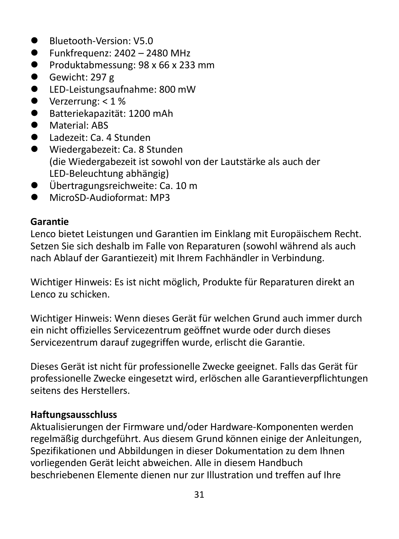- Bluetooth-Version: V5.0
- $\bullet$  Funkfrequenz: 2402 2480 MHz
- $\bullet$  Produktabmessung: 98 x 66 x 233 mm
- Gewicht: 297 g
- LED-Leistungsaufnahme: 800 mW
- $\bullet$  Verzerrung: < 1 %
- Batteriekapazität: 1200 mAh
- **Material: ABS**
- Ladezeit: Ca. 4 Stunden
- Wiedergabezeit: Ca. 8 Stunden (die Wiedergabezeit ist sowohl von der Lautstärke als auch der LED-Beleuchtung abhängig)
- Übertragungsreichweite: Ca. 10 m
- MicroSD-Audioformat: MP3

#### **Garantie**

Lenco bietet Leistungen und Garantien im Einklang mit Europäischem Recht. Setzen Sie sich deshalb im Falle von Reparaturen (sowohl während als auch nach Ablauf der Garantiezeit) mit Ihrem Fachhändler in Verbindung.

Wichtiger Hinweis: Es ist nicht möglich, Produkte für Reparaturen direkt an Lenco zu schicken.

Wichtiger Hinweis: Wenn dieses Gerät für welchen Grund auch immer durch ein nicht offizielles Servicezentrum geöffnet wurde oder durch dieses Servicezentrum darauf zugegriffen wurde, erlischt die Garantie.

Dieses Gerät ist nicht für professionelle Zwecke geeignet. Falls das Gerät für professionelle Zwecke eingesetzt wird, erlöschen alle Garantieverpflichtungen seitens des Herstellers.

#### **Haftungsausschluss**

Aktualisierungen der Firmware und/oder Hardware-Komponenten werden regelmäßig durchgeführt. Aus diesem Grund können einige der Anleitungen, Spezifikationen und Abbildungen in dieser Dokumentation zu dem Ihnen vorliegenden Gerät leicht abweichen. Alle in diesem Handbuch beschriebenen Elemente dienen nur zur Illustration und treffen auf Ihre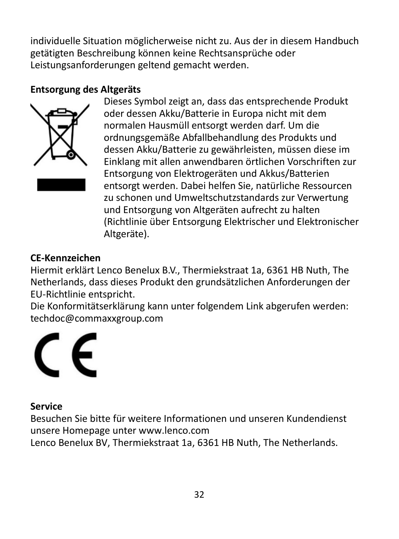individuelle Situation möglicherweise nicht zu. Aus der in diesem Handbuch getätigten Beschreibung können keine Rechtsansprüche oder Leistungsanforderungen geltend gemacht werden.

#### **Entsorgung des Altgeräts**



Dieses Symbol zeigt an, dass das entsprechende Produkt oder dessen Akku/Batterie in Europa nicht mit dem normalen Hausmüll entsorgt werden darf. Um die ordnungsgemäße Abfallbehandlung des Produkts und dessen Akku/Batterie zu gewährleisten, müssen diese im Einklang mit allen anwendbaren örtlichen Vorschriften zur Entsorgung von Elektrogeräten und Akkus/Batterien entsorgt werden. Dabei helfen Sie, natürliche Ressourcen zu schonen und Umweltschutzstandards zur Verwertung und Entsorgung von Altgeräten aufrecht zu halten (Richtlinie über Entsorgung Elektrischer und Elektronischer Altgeräte).

#### **CE-Kennzeichen**

Hiermit erklärt Lenco Benelux B.V., Thermiekstraat 1a, 6361 HB Nuth, The Netherlands, dass dieses Produkt den grundsätzlichen Anforderungen der EU-Richtlinie entspricht.

Die Konformitätserklärung kann unter folgendem Link abgerufen werden: techdoc@commaxxgroup.com



#### **Service**

Besuchen Sie bitte für weitere Informationen und unseren Kundendienst unsere Homepage unter www.lenco.com

Lenco Benelux BV, Thermiekstraat 1a, 6361 HB Nuth, The Netherlands.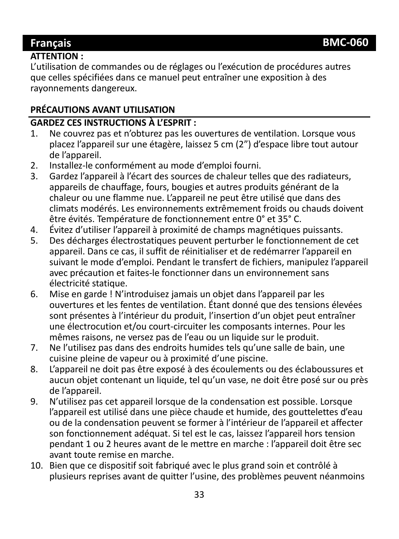#### **Français BMC-060**

#### **ATTENTION :**

L'utilisation de commandes ou de réglages ou l'exécution de procédures autres que celles spécifiées dans ce manuel peut entraîner une exposition à des rayonnements dangereux.

#### **PRÉCAUTIONS AVANT UTILISATION**

# **GARDEZ CES INSTRUCTIONS À L'ESPRIT :**

- Ne couvrez pas et n'obturez pas les ouvertures de ventilation. Lorsque vous placez l'appareil sur une étagère, laissez 5 cm (2") d'espace libre tout autour de l'appareil.
- 2. Installez-le conformément au mode d'emploi fourni.<br>3. Gardez l'appareil à l'écart des sources de chaleur telle
- 3. Gardez l'appareil à l'écart des sources de chaleur telles que des radiateurs, appareils de chauffage, fours, bougies et autres produits générant de la chaleur ou une flamme nue. L'appareil ne peut être utilisé que dans des climats modérés. Les environnements extrêmement froids ou chauds doivent être évités. Température de fonctionnement entre 0° et 35° C.
- 4. Évitez d'utiliser l'appareil à proximité de champs magnétiques puissants.<br>5. Des décharges électrostatiques peuvent perturber le fonctionnement de
- 5. Des décharges électrostatiques peuvent perturber le fonctionnement de cet appareil. Dans ce cas, il suffit de réinitialiser et de redémarrer l'appareil en suivant le mode d'emploi. Pendant le transfert de fichiers, manipulez l'appareil avec précaution et faites-le fonctionner dans un environnement sans électricité statique.
- 6. Mise en garde ! N'introduisez jamais un objet dans l'appareil par les ouvertures et les fentes de ventilation. Étant donné que des tensions élevées sont présentes à l'intérieur du produit, l'insertion d'un objet peut entraîner une électrocution et/ou court-circuiter les composants internes. Pour les mêmes raisons, ne versez pas de l'eau ou un liquide sur le produit.
- 7. Ne l'utilisez pas dans des endroits humides tels qu'une salle de bain, une cuisine pleine de vapeur ou à proximité d'une piscine.
- 8. L'appareil ne doit pas être exposé à des écoulements ou des éclaboussures et aucun objet contenant un liquide, tel qu'un vase, ne doit être posé sur ou près de l'appareil.
- 9. N'utilisez pas cet appareil lorsque de la condensation est possible. Lorsque l'appareil est utilisé dans une pièce chaude et humide, des gouttelettes d'eau ou de la condensation peuvent se former à l'intérieur de l'appareil et affecter son fonctionnement adéquat. Si tel est le cas, laissez l'appareil hors tension pendant 1 ou 2 heures avant de le mettre en marche : l'appareil doit être sec avant toute remise en marche.
- 10. Bien que ce dispositif soit fabriqué avec le plus grand soin et contrôlé à plusieurs reprises avant de quitter l'usine, des problèmes peuvent néanmoins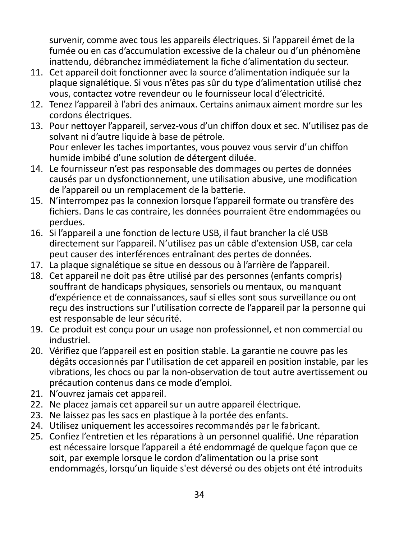survenir, comme avec tous les appareils électriques. Si l'appareil émet de la fumée ou en cas d'accumulation excessive de la chaleur ou d'un phénomène inattendu, débranchez immédiatement la fiche d'alimentation du secteur.

- 11. Cet appareil doit fonctionner avec la source d'alimentation indiquée sur la plaque signalétique. Si vous n'êtes pas sûr du type d'alimentation utilisé chez vous, contactez votre revendeur ou le fournisseur local d'électricité.
- 12. Tenez l'appareil à l'abri des animaux. Certains animaux aiment mordre sur les cordons électriques.
- 13. Pour nettoyer l'appareil, servez-vous d'un chiffon doux et sec. N'utilisez pas de solvant ni d'autre liquide à base de pétrole. Pour enlever les taches importantes, vous pouvez vous servir d'un chiffon humide imbibé d'une solution de détergent diluée.
- 14. Le fournisseur n'est pas responsable des dommages ou pertes de données causés par un dysfonctionnement, une utilisation abusive, une modification de l'appareil ou un remplacement de la batterie.
- 15. N'interrompez pas la connexion lorsque l'appareil formate ou transfère des fichiers. Dans le cas contraire, les données pourraient être endommagées ou perdues.
- 16. Si l'appareil a une fonction de lecture USB, il faut brancher la clé USB directement sur l'appareil. N'utilisez pas un câble d'extension USB, car cela peut causer des interférences entraînant des pertes de données.
- 17. La plaque signalétique se situe en dessous ou à l'arrière de l'appareil.
- 18. Cet appareil ne doit pas être utilisé par des personnes (enfants compris) souffrant de handicaps physiques, sensoriels ou mentaux, ou manquant d'expérience et de connaissances, sauf si elles sont sous surveillance ou ont reçu des instructions sur l'utilisation correcte de l'appareil par la personne qui est responsable de leur sécurité.
- 19. Ce produit est conçu pour un usage non professionnel, et non commercial ou industriel.
- 20. Vérifiez que l'appareil est en position stable. La garantie ne couvre pas les dégâts occasionnés par l'utilisation de cet appareil en position instable, par les vibrations, les chocs ou par la non-observation de tout autre avertissement ou précaution contenus dans ce mode d'emploi.
- 21. N'ouvrez jamais cet appareil.
- 22. Ne placez jamais cet appareil sur un autre appareil électrique.
- 23. Ne laissez pas les sacs en plastique à la portée des enfants.
- 24. Utilisez uniquement les accessoires recommandés par le fabricant.
- 25. Confiez l'entretien et les réparations à un personnel qualifié. Une réparation est nécessaire lorsque l'appareil a été endommagé de quelque façon que ce soit, par exemple lorsque le cordon d'alimentation ou la prise sont endommagés, lorsqu'un liquide s'est déversé ou des objets ont été introduits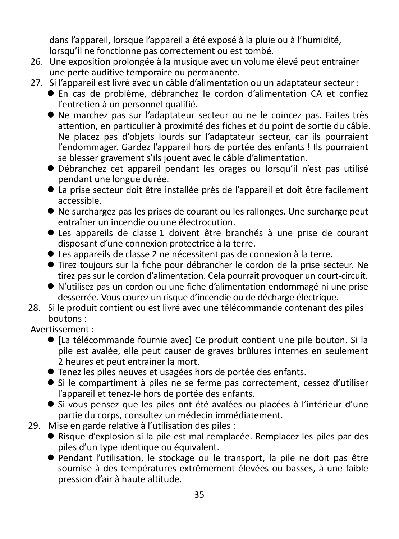dans l'appareil, lorsque l'appareil a été exposé à la pluie ou à l'humidité, lorsqu'il ne fonctionne pas correctement ou est tombé.

- 26. Une exposition prolongée à la musique avec un volume élevé peut entraîner une perte auditive temporaire ou permanente.
- 27. Si l'appareil est livré avec un câble d'alimentation ou un adaptateur secteur :
	- En cas de problème, débranchez le cordon d'alimentation CA et confiez l'entretien à un personnel qualifié.
	- Ne marchez pas sur l'adaptateur secteur ou ne le coincez pas. Faites très attention, en particulier à proximité des fiches et du point de sortie du câble. Ne placez pas d'objets lourds sur l'adaptateur secteur, car ils pourraient l'endommager. Gardez l'appareil hors de portée des enfants ! Ils pourraient se blesser gravement s'ils jouent avec le câble d'alimentation.
	- Débranchez cet appareil pendant les orages ou lorsqu'il n'est pas utilisé pendant une longue durée.
	- La prise secteur doit être installée près de l'appareil et doit être facilement accessible.
	- Ne surchargez pas les prises de courant ou les rallonges. Une surcharge peut entraîner un incendie ou une électrocution.
	- Les appareils de classe 1 doivent être branchés à une prise de courant disposant d'une connexion protectrice à la terre.
	- Les appareils de classe 2 ne nécessitent pas de connexion à la terre.
	- Tirez toujours sur la fiche pour débrancher le cordon de la prise secteur. Ne tirez pas sur le cordon d'alimentation. Cela pourrait provoquer un court-circuit.
	- N'utilisez pas un cordon ou une fiche d'alimentation endommagé ni une prise desserrée. Vous courez un risque d'incendie ou de décharge électrique.
- 28. Si le produit contient ou est livré avec une télécommande contenant des piles boutons :
- Avertissement :
	- [La télécommande fournie avec] Ce produit contient une pile bouton. Si la pile est avalée, elle peut causer de graves brûlures internes en seulement 2 heures et peut entraîner la mort.
	- Tenez les piles neuves et usagées hors de portée des enfants.
	- Si le compartiment à piles ne se ferme pas correctement, cessez d'utiliser l'appareil et tenez-le hors de portée des enfants.
	- Si vous pensez que les piles ont été avalées ou placées à l'intérieur d'une partie du corps, consultez un médecin immédiatement.
- 29. Mise en garde relative à l'utilisation des piles :
	- Risque d'explosion si la pile est mal remplacée. Remplacez les piles par des piles d'un type identique ou équivalent.
	- Pendant l'utilisation, le stockage ou le transport, la pile ne doit pas être soumise à des températures extrêmement élevées ou basses, à une faible pression d'air à haute altitude.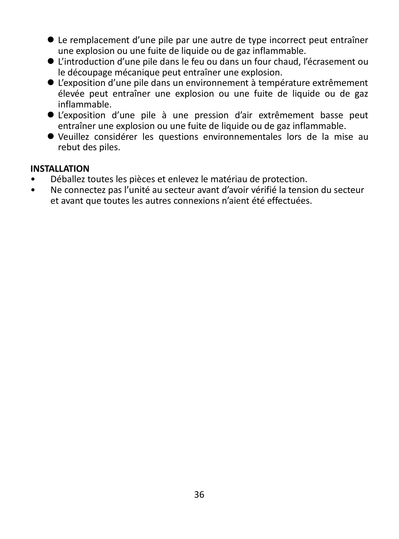- Le remplacement d'une pile par une autre de type incorrect peut entraîner une explosion ou une fuite de liquide ou de gaz inflammable.
- L'introduction d'une pile dans le feu ou dans un four chaud, l'écrasement ou le découpage mécanique peut entraîner une explosion.
- L'exposition d'une pile dans un environnement à température extrêmement élevée peut entraîner une explosion ou une fuite de liquide ou de gaz inflammable.
- L'exposition d'une pile à une pression d'air extrêmement basse peut entraîner une explosion ou une fuite de liquide ou de gaz inflammable.
- Veuillez considérer les questions environnementales lors de la mise au rebut des piles.

#### **INSTALLATION**

- Déballez toutes les pièces et enlevez le matériau de protection.
- Ne connectez pas l'unité au secteur avant d'avoir vérifié la tension du secteur et avant que toutes les autres connexions n'aient été effectuées.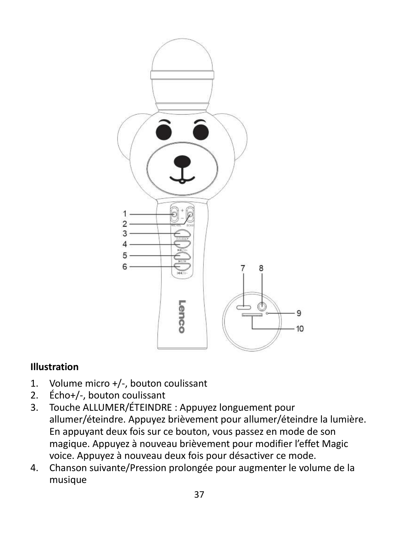

#### **Illustration**

- 1. Volume micro +/-, bouton coulissant
- 2. Écho+/-, bouton coulissant<br>3. Touche ALLUMER/ÉTEINDR
- 3. Touche ALLUMER/ÉTEINDRE : Appuyez longuement pour allumer/éteindre. Appuyez brièvement pour allumer/éteindre la lumière. En appuyant deux fois sur ce bouton, vous passez en mode de son magique. Appuyez à nouveau brièvement pour modifier l'effet Magic voice. Appuyez à nouveau deux fois pour désactiver ce mode.
- 4. Chanson suivante/Pression prolongée pour augmenter le volume de la musique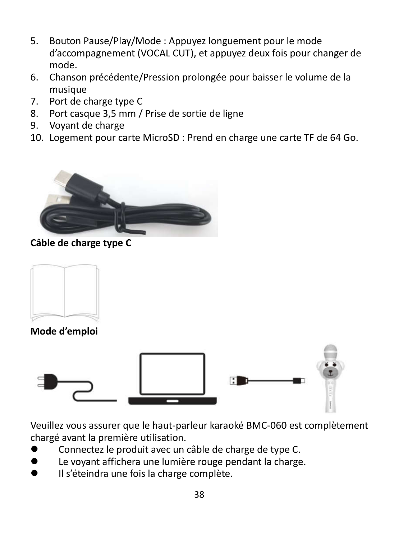- 5. Bouton Pause/Play/Mode : Appuyez longuement pour le mode d'accompagnement (VOCAL CUT), et appuyez deux fois pour changer de mode.
- 6. Chanson précédente/Pression prolongée pour baisser le volume de la musique
- 7. Port de charge type C
- 8. Port casque 3,5 mm / Prise de sortie de ligne
- 9. Voyant de charge
- 10. Logement pour carte MicroSD : Prend en charge une carte TF de 64 Go.



#### **Câble de charge type C**



**Mode d'emploi**



Veuillez vous assurer que le haut-parleur karaoké BMC-060 est complètement chargé avant la première utilisation.

- Connectez le produit avec un câble de charge de type C.
- Le voyant affichera une lumière rouge pendant la charge.
- Il s'éteindra une fois la charge complète.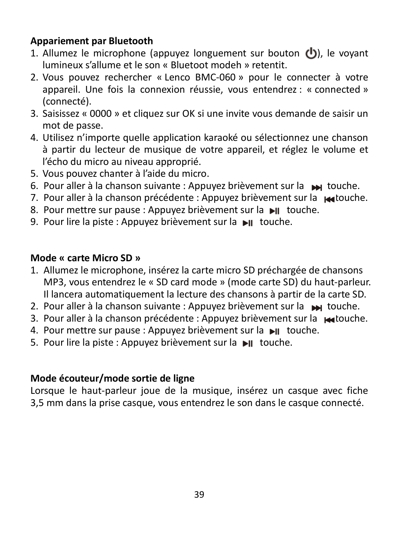#### **Appariement par Bluetooth**

- 1. Allumez le microphone (appuyez longuement sur bouton  $\langle \cdot \rangle$ ), le voyant lumineux s'allume et le son « Bluetoot modeh » retentit.
- 2. Vous pouvez rechercher « Lenco BMC-060 » pour le connecter à votre appareil. Une fois la connexion réussie, vous entendrez : « connected » (connecté).
- 3. Saisissez « 0000 » et cliquez sur OK si une invite vous demande de saisir un mot de passe.
- 4. Utilisez n'importe quelle application karaoké ou sélectionnez une chanson à partir du lecteur de musique de votre appareil, et réglez le volume et l'écho du micro au niveau approprié.
- 5. Vous pouvez chanter à l'aide du micro.
- 6. Pour aller à la chanson suivante : Appuyez brièvement sur la touche.
- 7. Pour aller à la chanson précédente : Appuyez brièvement sur la partouche.
- 8. Pour mettre sur pause : Appuyez brièvement sur la  $\blacksquare$  touche.
- 9. Pour lire la piste : Appuyez brièvement sur la ► touche.

#### **Mode « carte Micro SD »**

- 1. Allumez le microphone, insérez la carte micro SD préchargée de chansons MP3, vous entendrez le « SD card mode » (mode carte SD) du haut-parleur. Il lancera automatiquement la lecture des chansons à partir de la carte SD.
- 2. Pour aller à la chanson suivante : Appuyez brièvement sur la supplement.
- 3. Pour aller à la chanson précédente : Appuyez brièvement sur la petouche.
- 4. Pour mettre sur pause : Appuyez brièvement sur la  $\blacktriangleright$ II touche.
- 5. Pour lire la piste : Appuyez brièvement sur la ▶ touche.

#### **Mode écouteur/mode sortie de ligne**

Lorsque le haut-parleur joue de la musique, insérez un casque avec fiche 3,5 mm dans la prise casque, vous entendrez le son dans le casque connecté.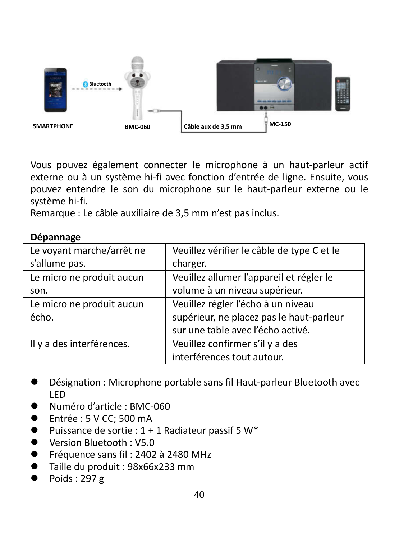

Vous pouvez également connecter le microphone à un haut-parleur actif externe ou à un système hi-fi avec fonction d'entrée de ligne. Ensuite, vous pouvez entendre le son du microphone sur le haut-parleur externe ou le système hi-fi.

Remarque : Le câble auxiliaire de 3,5 mm n'est pas inclus.

#### **Dépannage**

| Le voyant marche/arrêt ne | Veuillez vérifier le câble de type C et le |
|---------------------------|--------------------------------------------|
| s'allume pas.             | charger.                                   |
| Le micro ne produit aucun | Veuillez allumer l'appareil et régler le   |
| son.                      | volume à un niveau supérieur.              |
| Le micro ne produit aucun | Veuillez régler l'écho à un niveau         |
| écho.                     | supérieur, ne placez pas le haut-parleur   |
|                           | sur une table avec l'écho activé.          |
| Il y a des interférences. | Veuillez confirmer s'il y a des            |
|                           | interférences tout autour.                 |

- Désignation : Microphone portable sans fil Haut-parleur Bluetooth avec LED
- Numéro d'article : BMC-060
- Entrée : 5 V CC; 500 mA
- $\bullet$  Puissance de sortie : 1 + 1 Radiateur passif 5 W\*
- Version Bluetooth : V5.0
- Fréquence sans fil : 2402 à 2480 MHz
- Taille du produit : 98x66x233 mm
- Poids : 297 g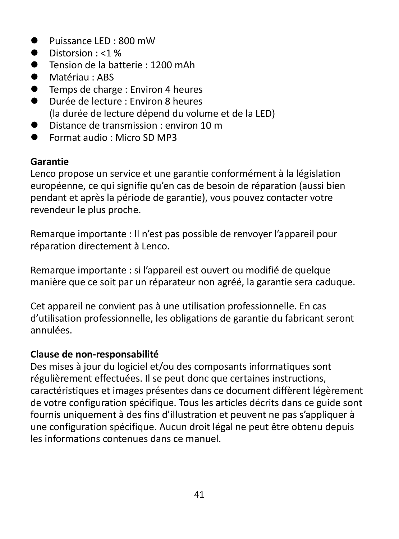- $\bullet$  Puissance LED : 800 mW
- $\bullet$  Distorsion : <1 %
- Tension de la batterie : 1200 mAh
- Matériau : ABS
- Temps de charge : Environ 4 heures
- Durée de lecture : Environ 8 heures (la durée de lecture dépend du volume et de la LED)
- Distance de transmission : environ 10 m
- Format audio · Micro SD MP3

#### **Garantie**

Lenco propose un service et une garantie conformément à la législation européenne, ce qui signifie qu'en cas de besoin de réparation (aussi bien pendant et après la période de garantie), vous pouvez contacter votre revendeur le plus proche.

Remarque importante : Il n'est pas possible de renvoyer l'appareil pour réparation directement à Lenco.

Remarque importante : si l'appareil est ouvert ou modifié de quelque manière que ce soit par un réparateur non agréé, la garantie sera caduque.

Cet appareil ne convient pas à une utilisation professionnelle. En cas d'utilisation professionnelle, les obligations de garantie du fabricant seront annulées.

#### **Clause de non-responsabilité**

Des mises à jour du logiciel et/ou des composants informatiques sont régulièrement effectuées. Il se peut donc que certaines instructions, caractéristiques et images présentes dans ce document diffèrent légèrement de votre configuration spécifique. Tous les articles décrits dans ce guide sont fournis uniquement à des fins d'illustration et peuvent ne pas s'appliquer à une configuration spécifique. Aucun droit légal ne peut être obtenu depuis les informations contenues dans ce manuel.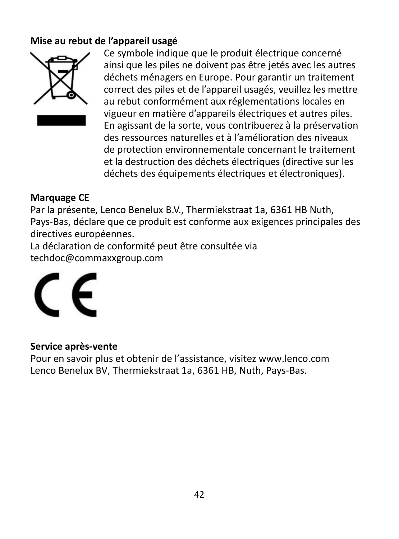#### **Mise au rebut de l'appareil usagé**



Ce symbole indique que le produit électrique concerné ainsi que les piles ne doivent pas être jetés avec les autres déchets ménagers en Europe. Pour garantir un traitement correct des piles et de l'appareil usagés, veuillez les mettre au rebut conformément aux réglementations locales en vigueur en matière d'appareils électriques et autres piles. En agissant de la sorte, vous contribuerez à la préservation des ressources naturelles et à l'amélioration des niveaux de protection environnementale concernant le traitement et la destruction des déchets électriques (directive sur les déchets des équipements électriques et électroniques).

#### **Marquage CE**

Par la présente, Lenco Benelux B.V., Thermiekstraat 1a, 6361 HB Nuth, Pays-Bas, déclare que ce produit est conforme aux exigences principales des directives européennes.

La déclaration de conformité peut être consultée via techdoc@commaxxgroup.com



#### **Service après-vente**

Pour en savoir plus et obtenir de l'assistance, visitez www.lenco.com Lenco Benelux BV, Thermiekstraat 1a, 6361 HB, Nuth, Pays-Bas.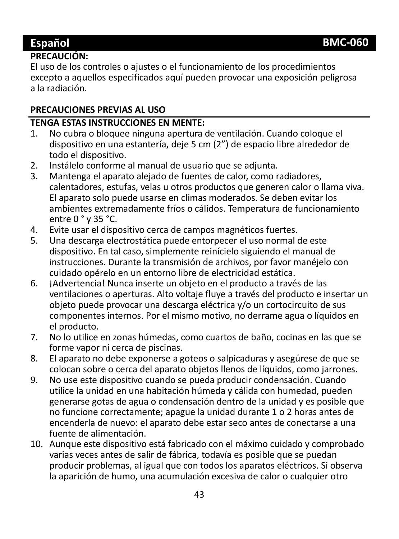#### **PRECAUCIÓN:**

El uso de los controles o ajustes o el funcionamiento de los procedimientos excepto a aquellos especificados aquí pueden provocar una exposición peligrosa a la radiación.

#### **PRECAUCIONES PREVIAS AL USO**

# **TENGA ESTAS INSTRUCCIONES EN MENTE:**<br>1. No cubra o bloquee ninguna apertura (

- 1. No cubra o bloquee ninguna apertura de ventilación. Cuando coloque el dispositivo en una estantería, deje 5 cm (2") de espacio libre alrededor de todo el dispositivo.
- 2. Instálelo conforme al manual de usuario que se adjunta.
- Mantenga el aparato alejado de fuentes de calor, como radiadores, calentadores, estufas, velas u otros productos que generen calor o llama viva. El aparato solo puede usarse en climas moderados. Se deben evitar los ambientes extremadamente fríos o cálidos. Temperatura de funcionamiento entre 0 ° y 35 °C.
- 4. Evite usar el dispositivo cerca de campos magnéticos fuertes.<br>5. Una descarga electrostática puede entorpecer el uso normal de
- 5. Una descarga electrostática puede entorpecer el uso normal de este dispositivo. En tal caso, simplemente reinícielo siguiendo el manual de instrucciones. Durante la transmisión de archivos, por favor manéjelo con cuidado opérelo en un entorno libre de electricidad estática.
- 6. ¡Advertencia! Nunca inserte un objeto en el producto a través de las ventilaciones o aperturas. Alto voltaje fluye a través del producto e insertar un objeto puede provocar una descarga eléctrica y/o un cortocircuito de sus componentes internos. Por el mismo motivo, no derrame agua o líquidos en el producto.
- 7. No lo utilice en zonas húmedas, como cuartos de baño, cocinas en las que se forme vapor ni cerca de piscinas.
- 8. El aparato no debe exponerse a goteos o salpicaduras y asegúrese de que se colocan sobre o cerca del aparato objetos llenos de líquidos, como jarrones.
- 9. No use este dispositivo cuando se pueda producir condensación. Cuando utilice la unidad en una habitación húmeda y cálida con humedad, pueden generarse gotas de agua o condensación dentro de la unidad y es posible que no funcione correctamente; apague la unidad durante 1 o 2 horas antes de encenderla de nuevo: el aparato debe estar seco antes de conectarse a una fuente de alimentación.
- 10. Aunque este dispositivo está fabricado con el máximo cuidado y comprobado varias veces antes de salir de fábrica, todavía es posible que se puedan producir problemas, al igual que con todos los aparatos eléctricos. Si observa la aparición de humo, una acumulación excesiva de calor o cualquier otro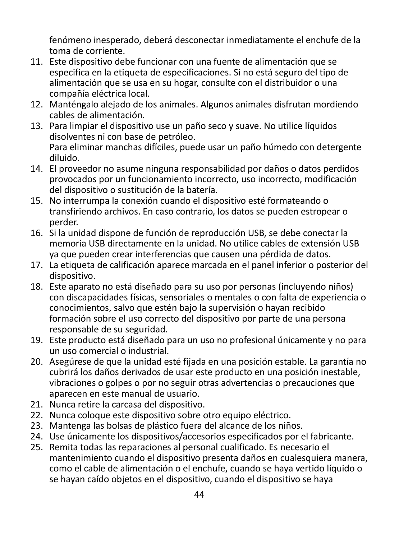fenómeno inesperado, deberá desconectar inmediatamente el enchufe de la toma de corriente.

- 11. Este dispositivo debe funcionar con una fuente de alimentación que se especifica en la etiqueta de especificaciones. Si no está seguro del tipo de alimentación que se usa en su hogar, consulte con el distribuidor o una compañía eléctrica local.
- 12. Manténgalo alejado de los animales. Algunos animales disfrutan mordiendo cables de alimentación.
- 13. Para limpiar el dispositivo use un paño seco y suave. No utilice líquidos disolventes ni con base de petróleo. Para eliminar manchas difíciles, puede usar un paño húmedo con detergente diluido.
- 14. El proveedor no asume ninguna responsabilidad por daños o datos perdidos provocados por un funcionamiento incorrecto, uso incorrecto, modificación del dispositivo o sustitución de la batería.
- 15. No interrumpa la conexión cuando el dispositivo esté formateando o transfiriendo archivos. En caso contrario, los datos se pueden estropear o perder.
- 16. Si la unidad dispone de función de reproducción USB, se debe conectar la memoria USB directamente en la unidad. No utilice cables de extensión USB ya que pueden crear interferencias que causen una pérdida de datos.
- 17. La etiqueta de calificación aparece marcada en el panel inferior o posterior del dispositivo.
- 18. Este aparato no está diseñado para su uso por personas (incluyendo niños) con discapacidades físicas, sensoriales o mentales o con falta de experiencia o conocimientos, salvo que estén bajo la supervisión o hayan recibido formación sobre el uso correcto del dispositivo por parte de una persona responsable de su seguridad.
- 19. Este producto está diseñado para un uso no profesional únicamente y no para un uso comercial o industrial.
- 20. Asegúrese de que la unidad esté fijada en una posición estable. La garantía no cubrirá los daños derivados de usar este producto en una posición inestable, vibraciones o golpes o por no seguir otras advertencias o precauciones que aparecen en este manual de usuario.
- 21. Nunca retire la carcasa del dispositivo.
- 22. Nunca coloque este dispositivo sobre otro equipo eléctrico.
- 23. Mantenga las bolsas de plástico fuera del alcance de los niños.
- 24. Use únicamente los dispositivos/accesorios especificados por el fabricante.
- 25. Remita todas las reparaciones al personal cualificado. Es necesario el mantenimiento cuando el dispositivo presenta daños en cualesquiera manera, como el cable de alimentación o el enchufe, cuando se haya vertido líquido o se hayan caído objetos en el dispositivo, cuando el dispositivo se haya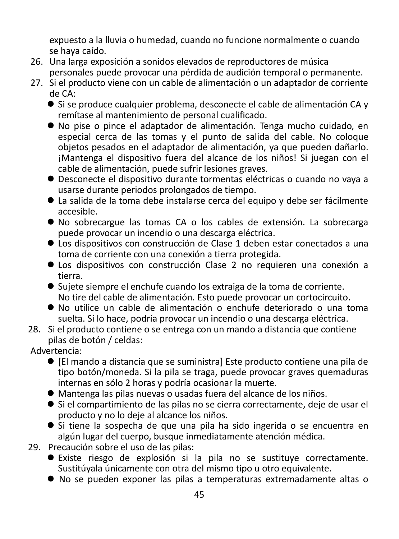expuesto a la lluvia o humedad, cuando no funcione normalmente o cuando se haya caído.

- 26. Una larga exposición a sonidos elevados de reproductores de música personales puede provocar una pérdida de audición temporal o permanente.
- 27. Si el producto viene con un cable de alimentación o un adaptador de corriente de CA:
	- Si se produce cualquier problema, desconecte el cable de alimentación CA y remítase al mantenimiento de personal cualificado.
	- No pise o pince el adaptador de alimentación. Tenga mucho cuidado, en especial cerca de las tomas y el punto de salida del cable. No coloque objetos pesados en el adaptador de alimentación, ya que pueden dañarlo. ¡Mantenga el dispositivo fuera del alcance de los niños! Si juegan con el cable de alimentación, puede sufrir lesiones graves.
	- Desconecte el dispositivo durante tormentas eléctricas o cuando no vaya a usarse durante periodos prolongados de tiempo.
	- La salida de la toma debe instalarse cerca del equipo y debe ser fácilmente accesible.
	- No sobrecargue las tomas CA o los cables de extensión. La sobrecarga puede provocar un incendio o una descarga eléctrica.
	- Los dispositivos con construcción de Clase 1 deben estar conectados a una toma de corriente con una conexión a tierra protegida.
	- Los dispositivos con construcción Clase 2 no requieren una conexión a tierra.
	- Sujete siempre el enchufe cuando los extraiga de la toma de corriente. No tire del cable de alimentación. Esto puede provocar un cortocircuito.
	- No utilice un cable de alimentación o enchufe deteriorado o una toma suelta. Si lo hace, podría provocar un incendio o una descarga eléctrica.
- 28. Si el producto contiene o se entrega con un mando a distancia que contiene pilas de botón / celdas:
- Advertencia:
	- [El mando a distancia que se suministra] Este producto contiene una pila de tipo botón/moneda. Si la pila se traga, puede provocar graves quemaduras internas en sólo 2 horas y podría ocasionar la muerte.
	- Mantenga las pilas nuevas o usadas fuera del alcance de los niños.
	- Si el compartimiento de las pilas no se cierra correctamente, deje de usar el producto y no lo deje al alcance los niños.
	- Si tiene la sospecha de que una pila ha sido ingerida o se encuentra en algún lugar del cuerpo, busque inmediatamente atención médica.
- 29. Precaución sobre el uso de las pilas:
	- Existe riesgo de explosión si la pila no se sustituye correctamente. Sustitúvala únicamente con otra del mismo tipo u otro equivalente.
	- No se pueden exponer las pilas a temperaturas extremadamente altas o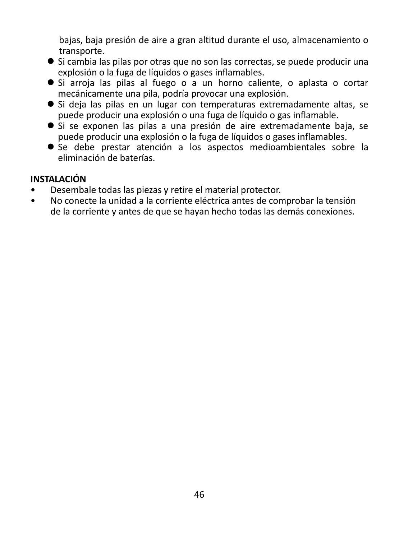bajas, baja presión de aire a gran altitud durante el uso, almacenamiento o transporte.

- Si cambia las pilas por otras que no son las correctas, se puede producir una explosión o la fuga de líquidos o gases inflamables.
- Si arroja las pilas al fuego o a un horno caliente, o aplasta o cortar mecánicamente una pila, podría provocar una explosión.
- Si deja las pilas en un lugar con temperaturas extremadamente altas, se puede producir una explosión o una fuga de líquido o gas inflamable.
- Si se exponen las pilas a una presión de aire extremadamente baja, se puede producir una explosión o la fuga de líquidos o gases inflamables.
- Se debe prestar atención a los aspectos medioambientales sobre la eliminación de baterías.

#### **INSTALACIÓN**

- Desembale todas las piezas y retire el material protector.
- No conecte la unidad a la corriente eléctrica antes de comprobar la tensión de la corriente y antes de que se hayan hecho todas las demás conexiones.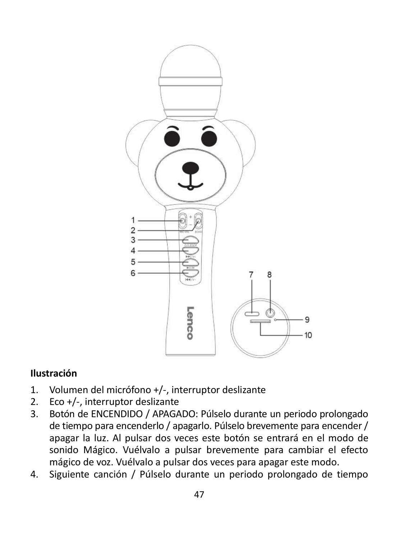

#### **Ilustración**

- 1. Volumen del micrófono +/-, interruptor deslizante
- 2. Eco +/-, interruptor deslizante
- 3. Botón de ENCENDIDO / APAGADO: Púlselo durante un periodo prolongado de tiempo para encenderlo / apagarlo. Púlselo brevemente para encender / apagar la luz. Al pulsar dos veces este botón se entrará en el modo de sonido Mágico. Vuélvalo a pulsar brevemente para cambiar el efecto mágico de voz. Vuélvalo a pulsar dos veces para apagar este modo.
- 4. Siguiente canción / Púlselo durante un periodo prolongado de tiempo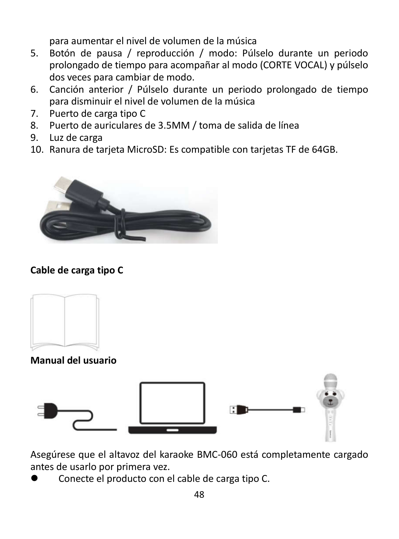para aumentar el nivel de volumen de la música

- 5. Botón de pausa / reproducción / modo: Púlselo durante un periodo prolongado de tiempo para acompañar al modo (CORTE VOCAL) y púlselo dos veces para cambiar de modo.
- 6. Canción anterior / Púlselo durante un periodo prolongado de tiempo para disminuir el nivel de volumen de la música
- 7. Puerto de carga tipo C
- 8. Puerto de auriculares de 3.5MM / toma de salida de línea
- 9. Luz de carga
- 10. Ranura de tarjeta MicroSD: Es compatible con tarjetas TF de 64GB.



#### **Cable de carga tipo C**



**Manual del usuario**



Asegúrese que el altavoz del karaoke BMC-060 está completamente cargado antes de usarlo por primera vez.

Conecte el producto con el cable de carga tipo C.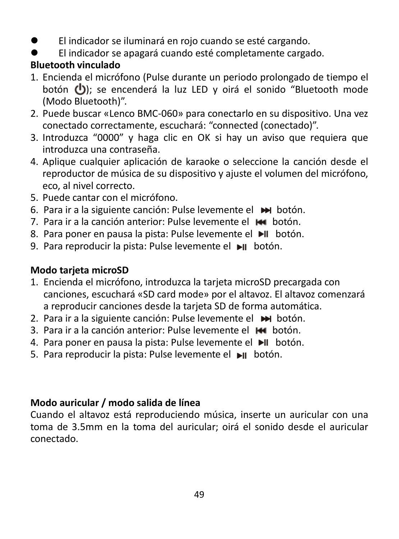- El indicador se iluminará en rojo cuando se esté cargando.
- El indicador se apagará cuando esté completamente cargado.

#### **Bluetooth vinculado**

- 1. Encienda el micrófono (Pulse durante un periodo prolongado de tiempo el botón  $\langle \cdot \rangle$ ); se encenderá la luz LED y oirá el sonido "Bluetooth mode (Modo Bluetooth)".
- 2. Puede buscar «Lenco BMC-060» para conectarlo en su dispositivo. Una vez conectado correctamente, escuchará: "connected (conectado)".
- 3. Introduzca "0000" y haga clic en OK si hay un aviso que requiera que introduzca una contraseña.
- 4. Aplique cualquier aplicación de karaoke o seleccione la canción desde el reproductor de música de su dispositivo y ajuste el volumen del micrófono, eco, al nivel correcto.
- 5. Puede cantar con el micrófono.
- 6. Para ir a la siguiente canción: Pulse levemente el botón.
- 7. Para ir a la canción anterior: Pulse levemente el les botón.
- 8. Para poner en pausa la pista: Pulse levemente el ▶II botón.
- 9. Para reproducir la pista: Pulse levemente el botón.

#### **Modo tarjeta microSD**

- 1. Encienda el micrófono, introduzca la tarjeta microSD precargada con canciones, escuchará «SD card mode» por el altavoz. El altavoz comenzará a reproducir canciones desde la tarjeta SD de forma automática.
- 2. Para ir a la siguiente canción: Pulse levemente el  $\blacktriangleright$  botón.
- 3. Para ir a la canción anterior: Pulse levemente el **HI** botón.
- 4. Para poner en pausa la pista: Pulse levemente el  $\blacktriangleright$ II botón.
- 5. Para reproducir la pista: Pulse levemente el  $\blacktriangleright$ II botón.

#### **Modo auricular / modo salida de línea**

Cuando el altavoz está reproduciendo música, inserte un auricular con una toma de 3.5mm en la toma del auricular; oirá el sonido desde el auricular conectado.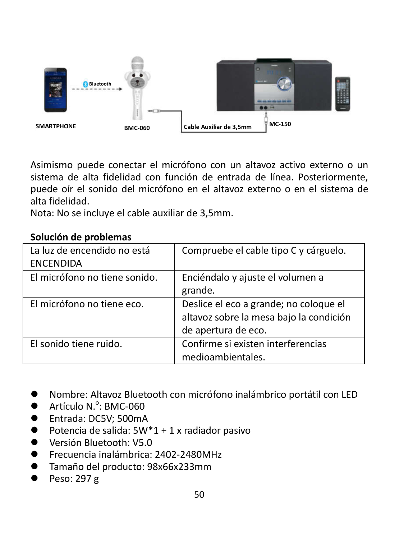

Asimismo puede conectar el micrófono con un altavoz activo externo o un sistema de alta fidelidad con función de entrada de línea. Posteriormente, puede oír el sonido del micrófono en el altavoz externo o en el sistema de alta fidelidad.

Nota: No se incluye el cable auxiliar de 3,5mm.

#### **Solución de problemas**

| La luz de encendido no está<br><b>ENCENDIDA</b> | Compruebe el cable tipo C y cárguelo.                                                                    |
|-------------------------------------------------|----------------------------------------------------------------------------------------------------------|
| El micrófono no tiene sonido.                   | Enciéndalo y ajuste el volumen a<br>grande.                                                              |
| El micrófono no tiene eco.                      | Deslice el eco a grande; no coloque el<br>altavoz sobre la mesa bajo la condición<br>de apertura de eco. |
| El sonido tiene ruido.                          | Confirme si existen interferencias<br>medioambientales.                                                  |

- Nombre: Altavoz Bluetooth con micrófono inalámbrico portátil con LED
- $\bullet$  Artículo N. $\degree$ : BMC-060
- Entrada: DC5V; 500mA
- $\bullet$  Potencia de salida: 5W\*1 + 1 x radiador pasivo
- **Warsión Bluetooth: V5.0**
- Frecuencia inalámbrica: 2402-2480MHz
- Tamaño del producto: 98x66x233mm
- Peso: 297 g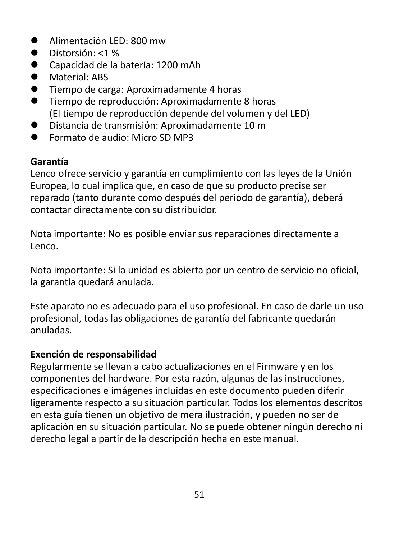- Alimentación LED: 800 mw
- $\bullet$  Distorsión: <1 %
- Capacidad de la batería: 1200 mAh
- **Material: ABS**
- Tiempo de carga: Aproximadamente 4 horas
- Tiempo de reproducción: Aproximadamente 8 horas (El tiempo de reproducción depende del volumen y del LED)
- Distancia de transmisión: Aproximadamente 10 m
- Formato de audio: Micro SD MP3

#### **Garantía**

Lenco ofrece servicio y garantía en cumplimiento con las leyes de la Unión Europea, lo cual implica que, en caso de que su producto precise ser reparado (tanto durante como después del periodo de garantía), deberá contactar directamente con su distribuidor.

Nota importante: No es posible enviar sus reparaciones directamente a Lenco.

Nota importante: Si la unidad es abierta por un centro de servicio no oficial, la garantía quedará anulada.

Este aparato no es adecuado para el uso profesional. En caso de darle un uso profesional, todas las obligaciones de garantía del fabricante quedarán anuladas.

#### **Exención de responsabilidad**

Regularmente se llevan a cabo actualizaciones en el Firmware y en los componentes del hardware. Por esta razón, algunas de las instrucciones, especificaciones e imágenes incluidas en este documento pueden diferir ligeramente respecto a su situación particular. Todos los elementos descritos en esta guía tienen un objetivo de mera ilustración, y pueden no ser de aplicación en su situación particular. No se puede obtener ningún derecho ni derecho legal a partir de la descripción hecha en este manual.